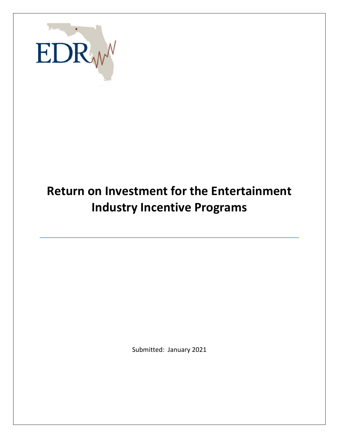

# **Return on Investment for the Entertainment Industry Incentive Programs**

Submitted: January 2021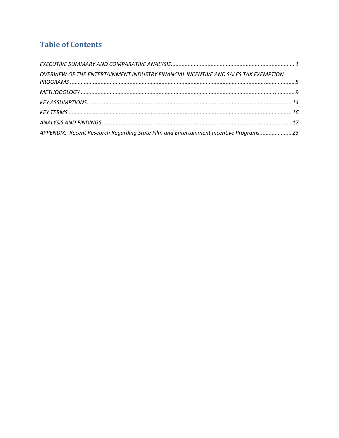## **Table of Contents**

| OVERVIEW OF THE ENTERTAINMENT INDUSTRY FINANCIAL INCENTIVE AND SALES TAX EXEMPTION     |  |
|----------------------------------------------------------------------------------------|--|
|                                                                                        |  |
|                                                                                        |  |
|                                                                                        |  |
|                                                                                        |  |
| APPENDIX: Recent Research Regarding State Film and Entertainment Incentive Programs 23 |  |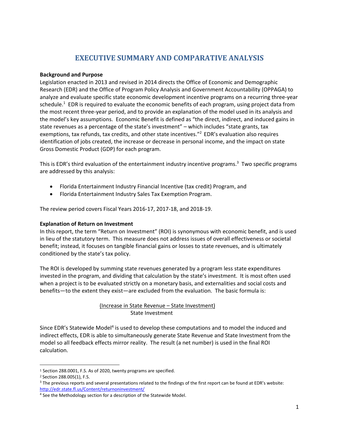### **EXECUTIVE SUMMARY AND COMPARATIVE ANALYSIS**

#### **Background and Purpose**

Legislation enacted in 2013 and revised in 2014 directs the Office of Economic and Demographic Research (EDR) and the Office of Program Policy Analysis and Government Accountability (OPPAGA) to analyze and evaluate specific state economic development incentive programs on a recurring three‐year schedule.<sup>1</sup> EDR is required to evaluate the economic benefits of each program, using project data from the most recent three‐year period, and to provide an explanation of the model used in its analysis and the model's key assumptions. Economic Benefit is defined as "the direct, indirect, and induced gains in state revenues as a percentage of the state's investment" – which includes "state grants, tax exemptions, tax refunds, tax credits, and other state incentives."<sup>2</sup> EDR's evaluation also requires identification of jobs created, the increase or decrease in personal income, and the impact on state Gross Domestic Product (GDP) for each program.

This is EDR's third evaluation of the entertainment industry incentive programs.<sup>3</sup> Two specific programs are addressed by this analysis:

- Florida Entertainment Industry Financial Incentive (tax credit) Program, and
- Florida Entertainment Industry Sales Tax Exemption Program.

The review period covers Fiscal Years 2016‐17, 2017‐18, and 2018‐19.

#### **Explanation of Return on Investment**

In this report, the term "Return on Investment" (ROI) is synonymous with economic benefit, and is used in lieu of the statutory term. This measure does not address issues of overall effectiveness or societal benefit; instead, it focuses on tangible financial gains or losses to state revenues, and is ultimately conditioned by the state's tax policy.

The ROI is developed by summing state revenues generated by a program less state expenditures invested in the program, and dividing that calculation by the state's investment. It is most often used when a project is to be evaluated strictly on a monetary basis, and externalities and social costs and benefits—to the extent they exist—are excluded from the evaluation. The basic formula is:

#### (Increase in State Revenue – State Investment) State Investment

Since EDR's Statewide Model<sup>4</sup> is used to develop these computations and to model the induced and indirect effects, EDR is able to simultaneously generate State Revenue and State Investment from the model so all feedback effects mirror reality. The result (a net number) is used in the final ROI calculation.

<sup>1</sup> Section 288.0001, F.S. As of 2020, twenty programs are specified.

<sup>2</sup> Section 288.005(1), F.S.

<sup>&</sup>lt;sup>3</sup> The previous reports and several presentations related to the findings of the first report can be found at EDR's website: http://edr.state.fl.us/Content/returnoninvestment/

<sup>&</sup>lt;sup>4</sup> See the Methodology section for a description of the Statewide Model.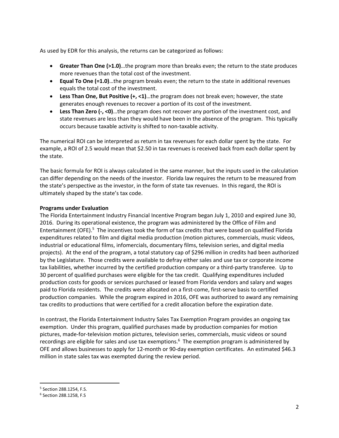As used by EDR for this analysis, the returns can be categorized as follows:

- **Greater Than One (>1.0)**…the program more than breaks even; the return to the state produces more revenues than the total cost of the investment.
- **Equal To One (=1.0)**…the program breaks even; the return to the state in additional revenues equals the total cost of the investment.
- **Less Than One, But Positive (+, <1)**…the program does not break even; however, the state generates enough revenues to recover a portion of its cost of the investment.
- **Less Than Zero (‐, <0)**…the program does not recover any portion of the investment cost, and state revenues are less than they would have been in the absence of the program. This typically occurs because taxable activity is shifted to non‐taxable activity.

The numerical ROI can be interpreted as return in tax revenues for each dollar spent by the state. For example, a ROI of 2.5 would mean that \$2.50 in tax revenues is received back from each dollar spent by the state.

The basic formula for ROI is always calculated in the same manner, but the inputs used in the calculation can differ depending on the needs of the investor. Florida law requires the return to be measured from the state's perspective as the investor, in the form of state tax revenues. In this regard, the ROI is ultimately shaped by the state's tax code.

#### **Programs under Evaluation**

The Florida Entertainment Industry Financial Incentive Program began July 1, 2010 and expired June 30, 2016. During its operational existence, the program was administered by the Office of Film and Entertainment (OFE).<sup>5</sup> The incentives took the form of tax credits that were based on qualified Florida expenditures related to film and digital media production (motion pictures, commercials, music videos, industrial or educational films, infomercials, documentary films, television series, and digital media projects). At the end of the program, a total statutory cap of \$296 million in credits had been authorized by the Legislature. Those credits were available to defray either sales and use tax or corporate income tax liabilities, whether incurred by the certified production company or a third‐party transferee. Up to 30 percent of qualified purchases were eligible for the tax credit. Qualifying expenditures included production costs for goods or services purchased or leased from Florida vendors and salary and wages paid to Florida residents. The credits were allocated on a first-come, first-serve basis to certified production companies. While the program expired in 2016, OFE was authorized to award any remaining tax credits to productions that were certified for a credit allocation before the expiration date.

In contrast, the Florida Entertainment Industry Sales Tax Exemption Program provides an ongoing tax exemption. Under this program, qualified purchases made by production companies for motion pictures, made-for-television motion pictures, television series, commercials, music videos or sound recordings are eligible for sales and use tax exemptions.<sup>6</sup> The exemption program is administered by OFE and allows businesses to apply for 12-month or 90-day exemption certificates. An estimated \$46.3 million in state sales tax was exempted during the review period.

<sup>5</sup> Section 288.1254, F.S.

<sup>6</sup> Section 288.1258, F.S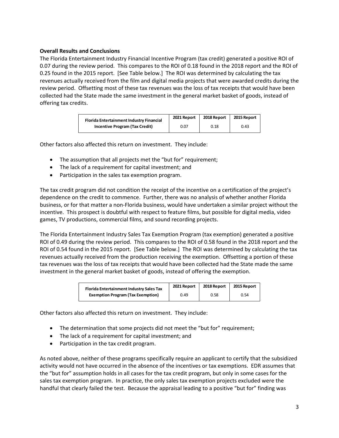#### **Overall Results and Conclusions**

The Florida Entertainment Industry Financial Incentive Program (tax credit) generated a positive ROI of 0.07 during the review period. This compares to the ROI of 0.18 found in the 2018 report and the ROI of 0.25 found in the 2015 report. [See Table below.] The ROI was determined by calculating the tax revenues actually received from the film and digital media projects that were awarded credits during the review period. Offsetting most of these tax revenues was the loss of tax receipts that would have been collected had the State made the same investment in the general market basket of goods, instead of offering tax credits.

| Florida Entertainment Industry Financial | 2021 Report | 2018 Report | 2015 Report |
|------------------------------------------|-------------|-------------|-------------|
| <b>Incentive Program (Tax Credit)</b>    | 0.07        | 0.18        | 0.43        |

Other factors also affected this return on investment. They include:

- The assumption that all projects met the "but for" requirement;
- The lack of a requirement for capital investment; and
- Participation in the sales tax exemption program.

The tax credit program did not condition the receipt of the incentive on a certification of the project's dependence on the credit to commence. Further, there was no analysis of whether another Florida business, or for that matter a non‐Florida business, would have undertaken a similar project without the incentive. This prospect is doubtful with respect to feature films, but possible for digital media, video games, TV productions, commercial films, and sound recording projects.

The Florida Entertainment Industry Sales Tax Exemption Program (tax exemption) generated a positive ROI of 0.49 during the review period.This compares to the ROI of 0.58 found in the 2018 report and the ROI of 0.54 found in the 2015 report. [See Table below.] The ROI was determined by calculating the tax revenues actually received from the production receiving the exemption. Offsetting a portion of these tax revenues was the loss of tax receipts that would have been collected had the State made the same investment in the general market basket of goods, instead of offering the exemption.

| Florida Entertainment Industry Sales Tax | 2021 Report | 2018 Report | 2015 Report |
|------------------------------------------|-------------|-------------|-------------|
| <b>Exemption Program (Tax Exemption)</b> | 0.49        | 0.58        | 0.54        |

Other factors also affected this return on investment. They include:

- The determination that some projects did not meet the "but for" requirement;
- The lack of a requirement for capital investment; and
- Participation in the tax credit program.

As noted above, neither of these programs specifically require an applicant to certify that the subsidized activity would not have occurred in the absence of the incentives or tax exemptions. EDR assumes that the "but for" assumption holds in all cases for the tax credit program, but only in some cases for the sales tax exemption program. In practice, the only sales tax exemption projects excluded were the handful that clearly failed the test. Because the appraisal leading to a positive "but for" finding was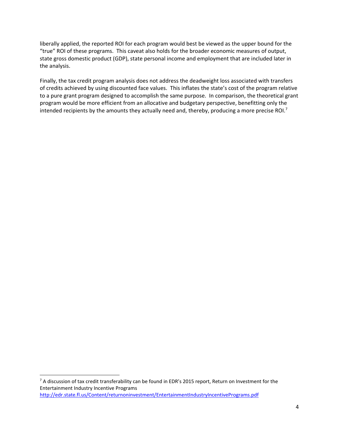liberally applied, the reported ROI for each program would best be viewed as the upper bound for the "true" ROI of these programs. This caveat also holds for the broader economic measures of output, state gross domestic product (GDP), state personal income and employment that are included later in the analysis.

Finally, the tax credit program analysis does not address the deadweight loss associated with transfers of credits achieved by using discounted face values. This inflates the state's cost of the program relative to a pure grant program designed to accomplish the same purpose. In comparison, the theoretical grant program would be more efficient from an allocative and budgetary perspective, benefitting only the intended recipients by the amounts they actually need and, thereby, producing a more precise ROI.<sup>7</sup>

<sup>7</sup> A discussion of tax credit transferability can be found in EDR's 2015 report, Return on Investment for the Entertainment Industry Incentive Programs http://edr.state.fl.us/Content/returnoninvestment/EntertainmentIndustryIncentivePrograms.pdf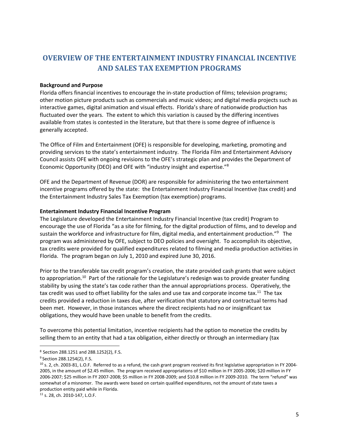### **OVERVIEW OF THE ENTERTAINMENT INDUSTRY FINANCIAL INCENTIVE AND SALES TAX EXEMPTION PROGRAMS**

#### **Background and Purpose**

Florida offers financial incentives to encourage the in‐state production of films; television programs; other motion picture products such as commercials and music videos; and digital media projects such as interactive games, digital animation and visual effects. Florida's share of nationwide production has fluctuated over the years. The extent to which this variation is caused by the differing incentives available from states is contested in the literature, but that there is some degree of influence is generally accepted.

The Office of Film and Entertainment (OFE) is responsible for developing, marketing, promoting and providing services to the state's entertainment industry. The Florida Film and Entertainment Advisory Council assists OFE with ongoing revisions to the OFE's strategic plan and provides the Department of Economic Opportunity (DEO) and OFE with "industry insight and expertise."<sup>8</sup>

OFE and the Department of Revenue (DOR) are responsible for administering the two entertainment incentive programs offered by the state: the Entertainment Industry Financial Incentive (tax credit) and the Entertainment Industry Sales Tax Exemption (tax exemption) programs.

#### **Entertainment Industry Financial Incentive Program**

The Legislature developed the Entertainment Industry Financial Incentive (tax credit) Program to encourage the use of Florida "as a site for filming, for the digital production of films, and to develop and sustain the workforce and infrastructure for film, digital media, and entertainment production."<sup>9</sup> The program was administered by OFE, subject to DEO policies and oversight. To accomplish its objective, tax credits were provided for qualified expenditures related to filming and media production activities in Florida. The program began on July 1, 2010 and expired June 30, 2016.

Prior to the transferable tax credit program's creation, the state provided cash grants that were subject to appropriation.<sup>10</sup> Part of the rationale for the Legislature's redesign was to provide greater funding stability by using the state's tax code rather than the annual appropriations process. Operatively, the tax credit was used to offset liability for the sales and use tax and corporate income tax.<sup>11</sup> The tax credits provided a reduction in taxes due, after verification that statutory and contractual terms had been met. However, in those instances where the direct recipients had no or insignificant tax obligations, they would have been unable to benefit from the credits.

To overcome this potential limitation, incentive recipients had the option to monetize the credits by selling them to an entity that had a tax obligation, either directly or through an intermediary (tax

 <sup>8</sup> Section 288.1251 and 288.1252(2), F.S.

<sup>9</sup> Section 288.1254(2), F.S.

 $10$  s. 2, ch. 2003-81, L.O.F. Referred to as a refund, the cash grant program received its first legislative appropriation in FY 2004-2005, in the amount of \$2.45 million. The program received appropriations of \$10 million in FY 2005‐2006; \$20 million in FY 2006‐2007; \$25 million in FY 2007‐2008; \$5 million in FY 2008‐2009; and \$10.8 million in FY 2009‐2010. The term "refund" was somewhat of a misnomer. The awards were based on certain qualified expenditures, not the amount of state taxes a production entity paid while in Florida.

<sup>11</sup> s. 28, ch. 2010‐147, L.O.F.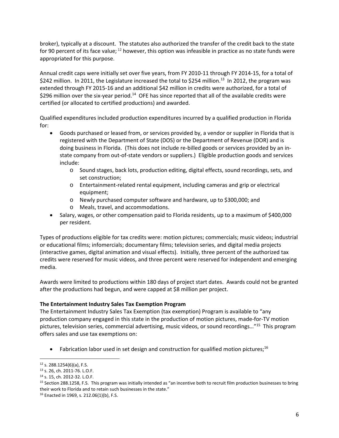broker), typically at a discount. The statutes also authorized the transfer of the credit back to the state for 90 percent of its face value;  $^{12}$  however, this option was infeasible in practice as no state funds were appropriated for this purpose.

Annual credit caps were initially set over five years, from FY 2010‐11 through FY 2014‐15, for a total of \$242 million. In 2011, the Legislature increased the total to \$254 million.<sup>13</sup> In 2012, the program was extended through FY 2015‐16 and an additional \$42 million in credits were authorized, for a total of \$296 million over the six-year period.<sup>14</sup> OFE has since reported that all of the available credits were certified (or allocated to certified productions) and awarded.

Qualified expenditures included production expenditures incurred by a qualified production in Florida for:

- Goods purchased or leased from, or services provided by, a vendor or supplier in Florida that is registered with the Department of State (DOS) or the Department of Revenue (DOR) and is doing business in Florida. (This does not include re‐billed goods or services provided by an in‐ state company from out‐of‐state vendors or suppliers.) Eligible production goods and services include:
	- o Sound stages, back lots, production editing, digital effects, sound recordings, sets, and set construction;
	- o Entertainment‐related rental equipment, including cameras and grip or electrical equipment;
	- o Newly purchased computer software and hardware, up to \$300,000; and
	- o Meals, travel, and accommodations.
- Salary, wages, or other compensation paid to Florida residents, up to a maximum of \$400,000 per resident.

Types of productions eligible for tax credits were: motion pictures; commercials; music videos; industrial or educational films; infomercials; documentary films; television series, and digital media projects (interactive games, digital animation and visual effects). Initially, three percent of the authorized tax credits were reserved for music videos, and three percent were reserved for independent and emerging media.

Awards were limited to productions within 180 days of project start dates. Awards could not be granted after the productions had begun, and were capped at \$8 million per project.

### **The Entertainment Industry Sales Tax Exemption Program**

The Entertainment Industry Sales Tax Exemption (tax exemption) Program is available to "any production company engaged in this state in the production of motion pictures, made‐for‐TV motion pictures, television series, commercial advertising, music videos, or sound recordings…"15 This program offers sales and use tax exemptions on:

Fabrication labor used in set design and construction for qualified motion pictures:<sup>16</sup>

<sup>12</sup> s. 288.1254(6)(a), F.S.

<sup>13</sup> s. 26, ch. 2011‐76. L.O.F.

<sup>14</sup> s. 15, ch. 2012‐32. L.O.F.

<sup>&</sup>lt;sup>15</sup> Section 288.1258, F.S. This program was initially intended as "an incentive both to recruit film production businesses to bring their work to Florida and to retain such businesses in the state."

<sup>16</sup> Enacted in 1969, s. 212.06(1)(b), F.S.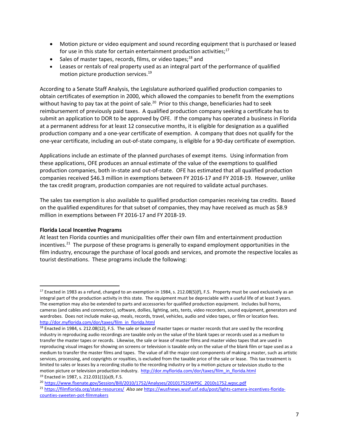- Motion picture or video equipment and sound recording equipment that is purchased or leased for use in this state for certain entertainment production activities;<sup>17</sup>
- Sales of master tapes, records, films, or video tapes;<sup>18</sup> and
- Leases or rentals of real property used as an integral part of the performance of qualified motion picture production services.<sup>19</sup>

According to a Senate Staff Analysis, the Legislature authorized qualified production companies to obtain certificates of exemption in 2000, which allowed the companies to benefit from the exemptions without having to pay tax at the point of sale.<sup>20</sup> Prior to this change, beneficiaries had to seek reimbursement of previously paid taxes. A qualified production company seeking a certificate has to submit an application to DOR to be approved by OFE. If the company has operated a business in Florida at a permanent address for at least 12 consecutive months, it is eligible for designation as a qualified production company and a one‐year certificate of exemption. A company that does not qualify for the one‐year certificate, including an out‐of‐state company, is eligible for a 90‐day certificate of exemption.

Applications include an estimate of the planned purchases of exempt items. Using information from these applications, OFE produces an annual estimate of the value of the exemptions to qualified production companies, both in‐state and out‐of‐state. OFE has estimated that all qualified production companies received \$46.3 million in exemptions between FY 2016‐17 and FY 2018‐19. However, unlike the tax credit program, production companies are not required to validate actual purchases.

The sales tax exemption is also available to qualified production companies receiving tax credits. Based on the qualified expenditures for that subset of companies, they may have received as much as \$8.9 million in exemptions between FY 2016‐17 and FY 2018‐19.

#### **Florida Local Incentive Programs**

At least ten Florida counties and municipalities offer their own film and entertainment production incentives.<sup>21</sup> The purpose of these programs is generally to expand employment opportunities in the film industry, encourage the purchase of local goods and services, and promote the respective locales as tourist destinations. These programs include the following:

 $17$  Enacted in 1983 as a refund, changed to an exemption in 1984, s. 212.08(5)(f), F.S. Property must be used exclusively as an integral part of the production activity in this state. The equipment must be depreciable with a useful life of at least 3 years. The exemption may also be extended to parts and accessories for qualified production equipment. Includes bull horns, cameras (and cables and connectors), software, dollies, lighting, sets, tents, video recorders, sound equipment, generators and wardrobes. Does not include make‐up, meals, records, travel, vehicles, audio and video tapes, or film or location fees. http://dor.myflorida.com/dor/taxes/film\_in\_florida.html

 $18$  Enacted in 1984, s. 212.08(12), F.S. The sale or lease of master tapes or master records that are used by the recording industry in reproducing audio recordings are taxable only on the value of the blank tapes or records used as a medium to transfer the master tapes or records. Likewise, the sale or lease of master films and master video tapes that are used in reproducing visual images for showing on screens or television is taxable only on the value of the blank film or tape used as a medium to transfer the master films and tapes. The value of all the major cost components of making a master, such as artistic services, processing, and copyrights or royalties, is excluded from the taxable price of the sale or lease. This tax treatment is limited to sales or leases by a recording studio to the recording industry or by a motion picture or television studio to the motion picture or television production industry. http://dor.myflorida.com/dor/taxes/film\_in\_florida.html <sup>19</sup> Enacted in 1987, s. 212.031(1)(a)9, F.S.

<sup>20</sup> https://www.flsenate.gov/Session/Bill/2010/1752/Analyses/20101752SWPSC\_2010s1752.wpsc.pdf

<sup>21</sup> https://filmflorida.org/state‐resources/ *Also see* https://wusfnews.wusf.usf.edu/post/lights‐camera‐incentives‐florida‐ counties‐sweeten‐pot‐filmmakers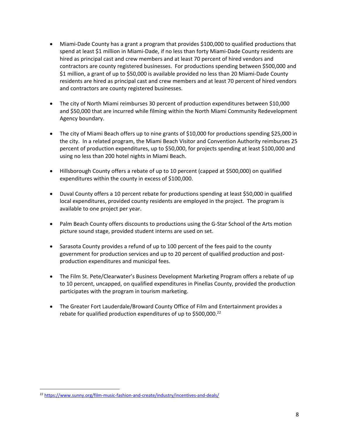- Miami-Dade County has a grant a program that provides \$100,000 to qualified productions that spend at least \$1 million in Miami‐Dade, if no less than forty Miami‐Dade County residents are hired as principal cast and crew members and at least 70 percent of hired vendors and contractors are county registered businesses. For productions spending between \$500,000 and \$1 million, a grant of up to \$50,000 is available provided no less than 20 Miami-Dade County residents are hired as principal cast and crew members and at least 70 percent of hired vendors and contractors are county registered businesses.
- The city of North Miami reimburses 30 percent of production expenditures between \$10,000 and \$50,000 that are incurred while filming within the North Miami Community Redevelopment Agency boundary.
- The city of Miami Beach offers up to nine grants of \$10,000 for productions spending \$25,000 in the city. In a related program, the Miami Beach Visitor and Convention Authority reimburses 25 percent of production expenditures, up to \$50,000, for projects spending at least \$100,000 and using no less than 200 hotel nights in Miami Beach.
- Hillsborough County offers a rebate of up to 10 percent (capped at \$500,000) on qualified expenditures within the county in excess of \$100,000.
- Duval County offers a 10 percent rebate for productions spending at least \$50,000 in qualified local expenditures, provided county residents are employed in the project. The program is available to one project per year.
- Palm Beach County offers discounts to productions using the G-Star School of the Arts motion picture sound stage, provided student interns are used on set.
- Sarasota County provides a refund of up to 100 percent of the fees paid to the county government for production services and up to 20 percent of qualified production and post‐ production expenditures and municipal fees.
- The Film St. Pete/Clearwater's Business Development Marketing Program offers a rebate of up to 10 percent, uncapped, on qualified expenditures in Pinellas County, provided the production participates with the program in tourism marketing.
- The Greater Fort Lauderdale/Broward County Office of Film and Entertainment provides a rebate for qualified production expenditures of up to  $$500,000.<sup>22</sup>$

<sup>&</sup>lt;sup>22</sup> https://www.sunny.org/film-music-fashion-and-create/industry/incentives-and-deals/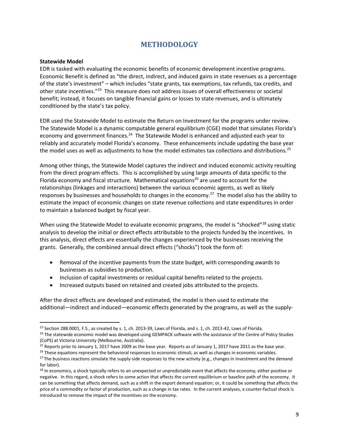### **METHODOLOGY**

#### **Statewide Model**

EDR is tasked with evaluating the economic benefits of economic development incentive programs. Economic Benefit is defined as "the direct, indirect, and induced gains in state revenues as a percentage of the state's investment" – which includes "state grants, tax exemptions, tax refunds, tax credits, and other state incentives."23 This measure does not address issues of overall effectiveness or societal benefit; instead, it focuses on tangible financial gains or losses to state revenues, and is ultimately conditioned by the state's tax policy.

EDR used the Statewide Model to estimate the Return on Investment for the programs under review. The Statewide Model is a dynamic computable general equilibrium (CGE) model that simulates Florida's economy and government finances.<sup>24</sup> The Statewide Model is enhanced and adjusted each year to reliably and accurately model Florida's economy. These enhancements include updating the base year the model uses as well as adjustments to how the model estimates tax collections and distributions.<sup>25</sup>

Among other things, the Statewide Model captures the indirect and induced economic activity resulting from the direct program effects. This is accomplished by using large amounts of data specific to the Florida economy and fiscal structure. Mathematical equations<sup>26</sup> are used to account for the relationships (linkages and interactions) between the various economic agents, as well as likely responses by businesses and households to changes in the economy.<sup>27</sup> The model also has the ability to estimate the impact of economic changes on state revenue collections and state expenditures in order to maintain a balanced budget by fiscal year.

When using the Statewide Model to evaluate economic programs, the model is "shocked"<sup>28</sup> using static analysis to develop the initial or direct effects attributable to the projects funded by the incentives. In this analysis, direct effects are essentially the changes experienced by the businesses receiving the grants. Generally, the combined annual direct effects ("shocks") took the form of:

- Removal of the incentive payments from the state budget, with corresponding awards to businesses as subsidies to production.
- Inclusion of capital investments or residual capital benefits related to the projects.
- Increased outputs based on retained and created jobs attributed to the projects.

After the direct effects are developed and estimated, the model is then used to estimate the additional—indirect and induced—economic effects generated by the programs, as well as the supply‐

 $23$  Section 288.0001, F.S., as created by s. 1, ch. 2013-39, Laws of Florida, and s. 1, ch. 2013-42, Laws of Florida.

<sup>&</sup>lt;sup>24</sup> The statewide economic model was developed using GEMPACK software with the assistance of the Centre of Policy Studies (CoPS) at Victoria University (Melbourne, Australia).

<sup>&</sup>lt;sup>25</sup> Reports prior to January 1, 2017 have 2009 as the base year. Reports as of January 1, 2017 have 2011 as the base year.

 $26$  These equations represent the behavioral responses to economic stimuli, as well as changes in economic variables.

<sup>&</sup>lt;sup>27</sup> The business reactions simulate the supply-side responses to the new activity (e.g., changes in investment and the demand for labor).

<sup>&</sup>lt;sup>28</sup> In economics, a shock typically refers to an unexpected or unpredictable event that affects the economy, either positive or negative. In this regard, a shock refers to some action that affects the current equilibrium or baseline path of the economy. It can be something that affects demand, such as a shift in the export demand equation; or, it could be something that affects the price of a commodity or factor of production, such as a change in tax rates. In the current analyses, a counter-factual shock is introduced to remove the impact of the incentives on the economy.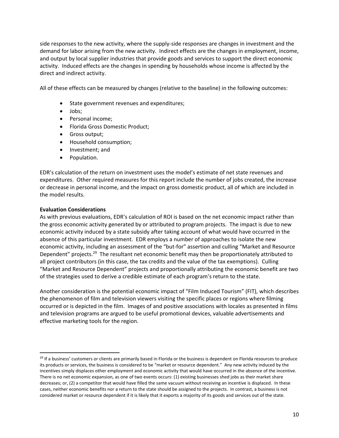side responses to the new activity, where the supply-side responses are changes in investment and the demand for labor arising from the new activity. Indirect effects are the changes in employment, income, and output by local supplier industries that provide goods and services to support the direct economic activity. Induced effects are the changes in spending by households whose income is affected by the direct and indirect activity.

All of these effects can be measured by changes (relative to the baseline) in the following outcomes:

- State government revenues and expenditures;
- Jobs;
- Personal income;
- Florida Gross Domestic Product;
- **•** Gross output;
- Household consumption;
- Investment; and
- Population.

EDR's calculation of the return on investment uses the model's estimate of net state revenues and expenditures. Other required measures for this report include the number of jobs created, the increase or decrease in personal income, and the impact on gross domestic product, all of which are included in the model results.

#### **Evaluation Considerations**

As with previous evaluations, EDR's calculation of ROI is based on the net economic impact rather than the gross economic activity generated by or attributed to program projects. The impact is due to new economic activity induced by a state subsidy after taking account of what would have occurred in the absence of this particular investment. EDR employs a number of approaches to isolate the new economic activity, including an assessment of the "but‐for" assertion and culling "Market and Resource Dependent" projects.<sup>29</sup> The resultant net economic benefit may then be proportionately attributed to all project contributors (in this case, the tax credits and the value of the tax exemptions). Culling "Market and Resource Dependent" projects and proportionally attributing the economic benefit are two of the strategies used to derive a credible estimate of each program's return to the state.

Another consideration is the potential economic impact of "Film Induced Tourism" (FIT), which describes the phenomenon of film and television viewers visiting the specific places or regions where filming occurred or is depicted in the film. Images of and positive associations with locales as presented in films and television programs are argued to be useful promotional devices, valuable advertisements and effective marketing tools for the region.

<sup>&</sup>lt;sup>29</sup> If a business' customers or clients are primarily based in Florida or the business is dependent on Florida resources to produce its products or services, the business is considered to be "market or resource dependent." Any new activity induced by the incentives simply displaces other employment and economic activity that would have occurred in the absence of the incentive. There is no net economic expansion, as one of two events occurs: (1) existing businesses shed jobs as their market share decreases; or, (2) a competitor that would have filled the same vacuum without receiving an incentive is displaced. In these cases, neither economic benefits nor a return to the state should be assigned to the projects. In contrast, a business is not considered market or resource dependent if it is likely that it exports a majority of its goods and services out of the state.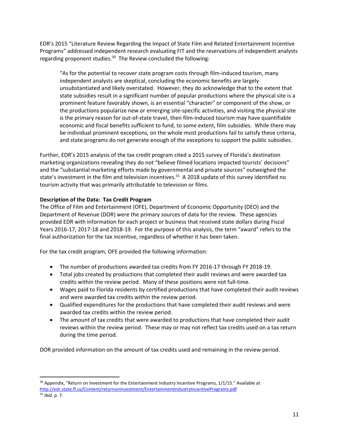EDR's 2015 "Literature Review Regarding the Impact of State Film and Related Entertainment Incentive Programs" addressed independent research evaluating FIT and the reservations of independent analysts regarding proponent studies. $30$  The Review concluded the following:

"As for the potential to recover state program costs through film‐induced tourism, many independent analysts are skeptical, concluding the economic benefits are largely unsubstantiated and likely overstated. However, they do acknowledge that to the extent that state subsidies result in a significant number of popular productions where the physical site is a prominent feature favorably shown, is an essential "character" or component of the show, or the productions popularize new or emerging site‐specific activities, and visiting the physical site is the primary reason for out‐of‐state travel, then film‐induced tourism may have quantifiable economic and fiscal benefits sufficient to fund, to some extent, film subsidies. While there may be individual prominent exceptions, on the whole most productions fail to satisfy these criteria, and state programs do not generate enough of the exceptions to support the public subsidies.

Further, EDR's 2015 analysis of the tax credit program cited a 2015 survey of Florida's destination marketing organizations revealing they do not "believe filmed locations impacted tourists' decisions" and the "substantial marketing efforts made by governmental and private sources" outweighed the state's investment in the film and television incentives.<sup>31</sup> A 2018 update of this survey identified no tourism activity that was primarily attributable to television or films.

### **Description of the Data: Tax Credit Program**

The Office of Film and Entertainment (OFE), Department of Economic Opportunity (DEO) and the Department of Revenue (DOR) were the primary sources of data for the review. These agencies provided EDR with information for each project or business that received state dollars during Fiscal Years 2016‐17, 2017‐18 and 2018‐19. For the purpose of this analysis, the term "award" refers to the final authorization for the tax incentive, regardless of whether it has been taken.

For the tax credit program, OFE provided the following information:

- The number of productions awarded tax credits from FY 2016‐17 through FY 2018‐19.
- Total jobs created by productions that completed their audit reviews and were awarded tax credits within the review period. Many of these positions were not full‐time.
- Wages paid to Florida residents by certified productions that have completed their audit reviews and were awarded tax credits within the review period.
- Qualified expenditures for the productions that have completed their audit reviews and were awarded tax credits within the review period.
- The amount of tax credits that were awarded to productions that have completed their audit reviews within the review period. These may or may not reflect tax credits used on a tax return during the time period.

DOR provided information on the amount of tax credits used and remaining in the review period.

 $30$  Appendix, "Return on Investment for the Entertainment Industry Incentive Programs, 1/1/15." Available at http://edr.state.fl.us/Content/returnoninvestment/EntertainmentIndustryIncentivePrograms.pdf

<sup>31</sup> *Ibid.* p. 7.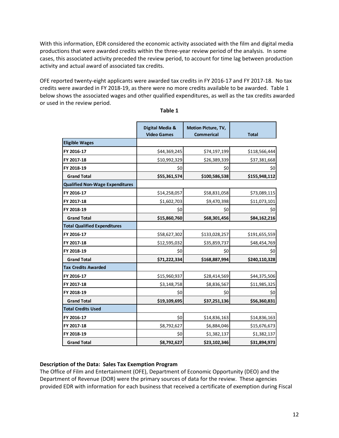With this information, EDR considered the economic activity associated with the film and digital media productions that were awarded credits within the three‐year review period of the analysis. In some cases, this associated activity preceded the review period, to account for time lag between production activity and actual award of associated tax credits.

OFE reported twenty-eight applicants were awarded tax credits in FY 2016-17 and FY 2017-18. No tax credits were awarded in FY 2018‐19, as there were no more credits available to be awarded. Table 1 below shows the associated wages and other qualified expenditures, as well as the tax credits awarded or used in the review period.

|                                        | Digital Media &<br><b>Video Games</b> | Motion Picture, TV,<br><b>Commerical</b> | <b>Total</b>  |
|----------------------------------------|---------------------------------------|------------------------------------------|---------------|
| <b>Eligible Wages</b>                  |                                       |                                          |               |
| FY 2016-17                             | \$44,369,245                          | \$74,197,199                             | \$118,566,444 |
| FY 2017-18                             | \$10,992,329                          | \$26,389,339                             | \$37,381,668  |
| FY 2018-19                             | \$0                                   | \$0                                      | \$0           |
| <b>Grand Total</b>                     | \$55,361,574                          | \$100,586,538                            | \$155,948,112 |
| <b>Qualified Non-Wage Expenditures</b> |                                       |                                          |               |
| FY 2016-17                             | \$14,258,057                          | \$58,831,058                             | \$73,089,115  |
| FY 2017-18                             | \$1,602,703                           | \$9,470,398                              | \$11,073,101  |
| FY 2018-19                             | \$0                                   | \$0                                      | \$0           |
| <b>Grand Total</b>                     | \$15,860,760                          | \$68,301,456                             | \$84,162,216  |
| <b>Total Qualified Expenditures</b>    |                                       |                                          |               |
| FY 2016-17                             | \$58,627,302                          | \$133,028,257                            | \$191,655,559 |
| FY 2017-18                             | \$12,595,032                          | \$35,859,737                             | \$48,454,769  |
| FY 2018-19                             | \$0                                   | \$0                                      | \$0           |
| <b>Grand Total</b>                     | \$71,222,334                          | \$168,887,994                            | \$240,110,328 |
| <b>Tax Credits Awarded</b>             |                                       |                                          |               |
| FY 2016-17                             | \$15,960,937                          | \$28,414,569                             | \$44,375,506  |
| FY 2017-18                             | \$3,148,758                           | \$8,836,567                              | \$11,985,325  |
| FY 2018-19                             | \$0                                   | \$0                                      | \$0           |
| <b>Grand Total</b>                     | \$19,109,695                          | \$37,251,136                             | \$56,360,831  |
| <b>Total Credits Used</b>              |                                       |                                          |               |
| FY 2016-17                             | \$0                                   | \$14,836,163                             | \$14,836,163  |
| FY 2017-18                             | \$8,792,627                           | \$6,884,046                              | \$15,676,673  |
| FY 2018-19                             | \$0                                   | \$1,382,137                              | \$1,382,137   |
| <b>Grand Total</b>                     | \$8,792,627                           | \$23,102,346                             | \$31,894,973  |

#### **Description of the Data: Sales Tax Exemption Program**

The Office of Film and Entertainment (OFE), Department of Economic Opportunity (DEO) and the Department of Revenue (DOR) were the primary sources of data for the review. These agencies provided EDR with information for each business that received a certificate of exemption during Fiscal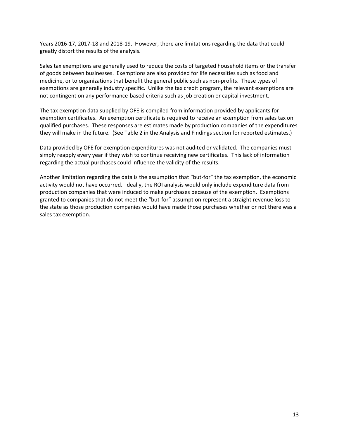Years 2016‐17, 2017‐18 and 2018‐19. However, there are limitations regarding the data that could greatly distort the results of the analysis.

Sales tax exemptions are generally used to reduce the costs of targeted household items or the transfer of goods between businesses. Exemptions are also provided for life necessities such as food and medicine, or to organizations that benefit the general public such as non‐profits. These types of exemptions are generally industry specific. Unlike the tax credit program, the relevant exemptions are not contingent on any performance‐based criteria such as job creation or capital investment.

The tax exemption data supplied by OFE is compiled from information provided by applicants for exemption certificates. An exemption certificate is required to receive an exemption from sales tax on qualified purchases. These responses are estimates made by production companies of the expenditures they will make in the future. (See Table 2 in the Analysis and Findings section for reported estimates.)

Data provided by OFE for exemption expenditures was not audited or validated. The companies must simply reapply every year if they wish to continue receiving new certificates. This lack of information regarding the actual purchases could influence the validity of the results.

Another limitation regarding the data is the assumption that "but‐for" the tax exemption, the economic activity would not have occurred. Ideally, the ROI analysis would only include expenditure data from production companies that were induced to make purchases because of the exemption. Exemptions granted to companies that do not meet the "but‐for" assumption represent a straight revenue loss to the state as those production companies would have made those purchases whether or not there was a sales tax exemption.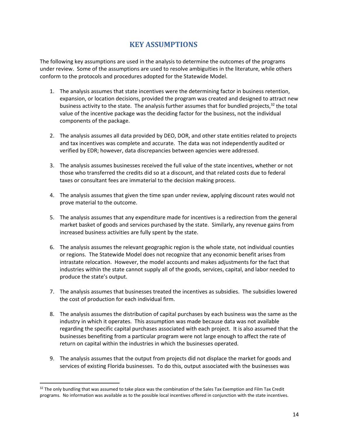### **KEY ASSUMPTIONS**

The following key assumptions are used in the analysis to determine the outcomes of the programs under review. Some of the assumptions are used to resolve ambiguities in the literature, while others conform to the protocols and procedures adopted for the Statewide Model.

- 1. The analysis assumes that state incentives were the determining factor in business retention, expansion, or location decisions, provided the program was created and designed to attract new business activity to the state. The analysis further assumes that for bundled projects, $32$  the total value of the incentive package was the deciding factor for the business, not the individual components of the package.
- 2. The analysis assumes all data provided by DEO, DOR, and other state entities related to projects and tax incentives was complete and accurate. The data was not independently audited or verified by EDR; however, data discrepancies between agencies were addressed.
- 3. The analysis assumes businesses received the full value of the state incentives, whether or not those who transferred the credits did so at a discount, and that related costs due to federal taxes or consultant fees are immaterial to the decision making process.
- 4. The analysis assumes that given the time span under review, applying discount rates would not prove material to the outcome.
- 5. The analysis assumes that any expenditure made for incentives is a redirection from the general market basket of goods and services purchased by the state. Similarly, any revenue gains from increased business activities are fully spent by the state.
- 6. The analysis assumes the relevant geographic region is the whole state, not individual counties or regions. The Statewide Model does not recognize that any economic benefit arises from intrastate relocation. However, the model accounts and makes adjustments for the fact that industries within the state cannot supply all of the goods, services, capital, and labor needed to produce the state's output.
- 7. The analysis assumes that businesses treated the incentives as subsidies. The subsidies lowered the cost of production for each individual firm.
- 8. The analysis assumes the distribution of capital purchases by each business was the same as the industry in which it operates. This assumption was made because data was not available regarding the specific capital purchases associated with each project. It is also assumed that the businesses benefiting from a particular program were not large enough to affect the rate of return on capital within the industries in which the businesses operated.
- 9. The analysis assumes that the output from projects did not displace the market for goods and services of existing Florida businesses. To do this, output associated with the businesses was

<sup>&</sup>lt;sup>32</sup> The only bundling that was assumed to take place was the combination of the Sales Tax Exemption and Film Tax Credit programs. No information was available as to the possible local incentives offered in conjunction with the state incentives.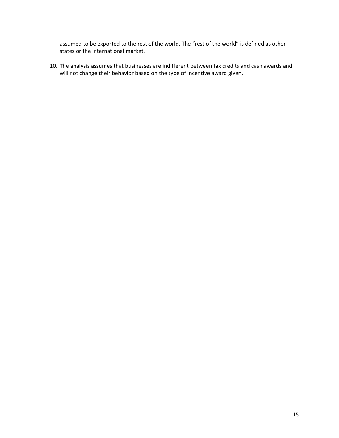assumed to be exported to the rest of the world. The "rest of the world" is defined as other states or the international market.

10. The analysis assumes that businesses are indifferent between tax credits and cash awards and will not change their behavior based on the type of incentive award given.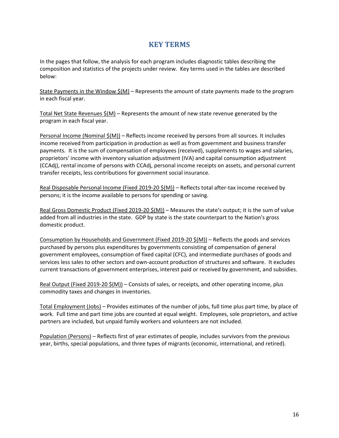### **KEY TERMS**

In the pages that follow, the analysis for each program includes diagnostic tables describing the composition and statistics of the projects under review. Key terms used in the tables are described below:

State Payments in the Window  $\frac{2}{3}(M)$  – Represents the amount of state payments made to the program in each fiscal year.

Total Net State Revenues \$(M) – Represents the amount of new state revenue generated by the program in each fiscal year.

**Personal Income (Nominal**  $\frac{\xi(M)}{\xi}$  **– Reflects income received by persons from all sources. It includes** income received from participation in production as well as from government and business transfer payments. It is the sum of compensation of employees (received), supplements to wages and salaries, proprietors' income with inventory valuation adjustment (IVA) and capital consumption adjustment (CCAdj), rental income of persons with CCAdj, personal income receipts on assets, and personal current transfer receipts, less contributions for government social insurance.

Real Disposable Personal Income (Fixed 2019-20 \$(M)) – Reflects total after-tax income received by persons; it is the income available to persons for spending or saving.

Real Gross Domestic Product (Fixed 2019-20 \$(M)) – Measures the state's output; it is the sum of value added from all industries in the state. GDP by state is the state counterpart to the Nation's gross domestic product.

Consumption by Households and Government (Fixed 2019‐20 \$(M)) – Reflects the goods and services purchased by persons plus expenditures by governments consisting of compensation of general government employees, consumption of fixed capital (CFC), and intermediate purchases of goods and services less sales to other sectors and own-account production of structures and software. It excludes current transactions of government enterprises, interest paid or received by government, and subsidies.

Real Output (Fixed 2019‐20 \$(M)) – Consists of sales, or receipts, and other operating income, plus commodity taxes and changes in inventories.

Total Employment (Jobs) – Provides estimates of the number of jobs, full time plus part time, by place of work. Full time and part time jobs are counted at equal weight. Employees, sole proprietors, and active partners are included, but unpaid family workers and volunteers are not included.

Population (Persons) – Reflects first of year estimates of people, includes survivors from the previous year, births, special populations, and three types of migrants (economic, international, and retired).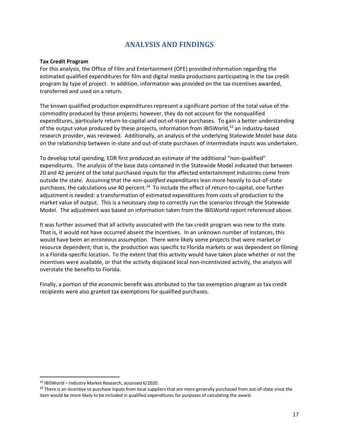### **ANALYSIS AND FINDINGS**

#### **Tax Credit Program**

For this analysis, the Office of Film and Entertainment (OFE) provided information regarding the estimated qualified expenditures for film and digital media productions participating in the tax credit program by type of project. In addition, information was provided on the tax incentives awarded, transferred and used on a return.

The known qualified production expenditures represent a significant portion of the total value of the commodity produced by these projects; however, they do not account for the nonqualified expenditures, particularly return‐to‐capital and out‐of‐state purchases. To gain a better understanding of the output value produced by these projects, information from IBISWorld,<sup>33</sup> an industry-based research provider, was reviewed. Additionally, an analysis of the underlying Statewide Model base data on the relationship between in‐state and out‐of‐state purchases of intermediate inputs was undertaken.

To develop total spending, EDR first produced an estimate of the additional "non‐qualified" expenditures. The analysis of the base data contained in the Statewide Model indicated that between 20 and 42 percent of the total purchased inputs for the affected entertainment industries come from outside the state. Assuming that the *non‐qualified* expenditures lean more heavily to out‐of‐state purchases, the calculations use 40 percent.<sup>34</sup> To include the effect of return-to-capital, one further adjustment is needed: a transformation of estimated expenditures from costs of production to the market value of output. This is a necessary step to correctly run the scenarios through the Statewide Model. The adjustment was based on information taken from the IBISWorld report referenced above.

It was further assumed that all activity associated with the tax credit program was new to the state. That is, it would not have occurred absent the incentives. In an unknown number of instances, this would have been an erroneous assumption. There were likely some projects that were market or resource dependent; that is, the production was specific to Florida markets or was dependent on filming in a Florida‐specific location. To the extent that this activity would have taken place whether or not the incentives were available, or that the activity displaced local non‐incentivized activity, the analysis will overstate the benefits to Florida.

Finally, a portion of the economic benefit was attributed to the tax exemption program as tax credit recipients were also granted tax exemptions for qualified purchases.

<sup>33</sup> IBISWorld – Industry Market Research, accessed 6/2020.

<sup>34</sup> There is an incentive to purchase inputs from local suppliers that are more generally purchased from out-of-state since the item would be more likely to be included in qualified expenditures for purposes of calculating the award.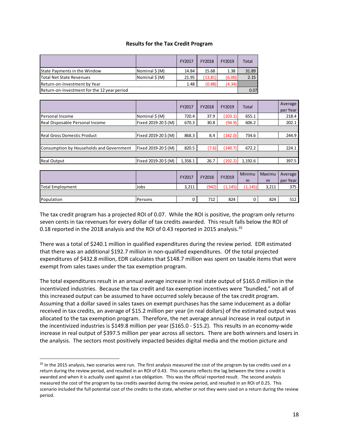#### **Results for the Tax Credit Program**

|                                             |               | FY2017 | FY2018  | FY2019 | Total |  |  |  |
|---------------------------------------------|---------------|--------|---------|--------|-------|--|--|--|
| State Payments in the Window                | Nominal \$(M) | 14.84  | 15.68   | 1.38   | 31.89 |  |  |  |
| Total Net State Revenues                    | Nominal \$(M) | 21.95  | (13.81) | (6.00) | 2.15  |  |  |  |
| Return-on-Investment by Year                | 1.48          | (0.88) | (4.34)  |        |       |  |  |  |
| Return-on-Investment for the 12 year period |               |        |         |        |       |  |  |  |

|                                          |                    | FY2017  | FY2018  | FY2019  | Total   |        | Average<br>per Year |
|------------------------------------------|--------------------|---------|---------|---------|---------|--------|---------------------|
| Personal Income                          | Nominal $\zeta(M)$ | 720.4   | 37.9    | (103.1) | 655.1   |        | 218.4               |
| Real Disposable Personal Income          | Fixed 2019-20\$(M) | 670.3   | 30.8    | (94.9)  | 606.2   |        | 202.1               |
|                                          |                    |         |         |         |         |        |                     |
| Real Gross Domestic Product              | Fixed 2019-20\$(M) | 868.3   | 8.4     | (142.0) | 734.6   |        | 244.9               |
|                                          |                    |         |         |         |         |        |                     |
| Consumption by Households and Government | Fixed 2019-20\$(M) | 820.5   | (7.6)   | (140.7) | 672.2   |        | 224.1               |
|                                          |                    |         |         |         |         |        |                     |
| <b>Real Output</b>                       | Fixed 2019-20\$(M) | 1,358.1 | 26.7    | (192.2) | 1,192.6 |        | 397.5               |
|                                          |                    |         |         |         |         |        |                     |
|                                          |                    | T12047  | F1/2040 | F1/2040 | Minimu  | Maximu | Average             |

|                  |         | <b>FY2017</b> | FY2018 | FY2019  | Minimu  | Maximu | Average  |
|------------------|---------|---------------|--------|---------|---------|--------|----------|
|                  |         |               |        |         | m       | m      | per Year |
| Total Employment | Jobs    | 3,211         | (942)  | (1.145) | (1.145) | 3,211  | 375      |
|                  |         |               |        |         |         |        |          |
| Population       | Persons |               | 712    | 824     |         | 824    | 512      |
|                  |         |               |        |         |         |        |          |

The tax credit program has a projected ROI of 0.07. While the ROI is positive, the program only returns seven cents in tax revenues for every dollar of tax credits awarded. This result falls below the ROI of 0.18 reported in the 2018 analysis and the ROI of 0.43 reported in 2015 analysis.<sup>35</sup>

There was a total of \$240.1 million in qualified expenditures during the review period. EDR estimated that there was an additional \$192.7 million in non‐qualified expenditures. Of the total projected expenditures of \$432.8 million, EDR calculates that \$148.7 million was spent on taxable items that were exempt from sales taxes under the tax exemption program.

The total expenditures result in an annual average increase in real state output of \$165.0 million in the incentivized industries. Because the tax credit and tax exemption incentives were "bundled," not all of this increased output can be assumed to have occurred solely because of the tax credit program. Assuming that a dollar saved in sales taxes on exempt purchases has the same inducement as a dollar received in tax credits, an average of \$15.2 million per year (in real dollars) of the estimated output was allocated to the tax exemption program. Therefore, the net average annual increase in real output in the incentivized industries is \$149.8 million per year (\$165.0 ‐ \$15.2). This results in an economy‐wide increase in real output of \$397.5 million per year across all sectors. There are both winners and losers in the analysis. The sectors most positively impacted besides digital media and the motion picture and

<sup>&</sup>lt;sup>35</sup> In the 2015 analysis, two scenarios were run. The first analysis measured the cost of the program by tax credits used on a return during the review period, and resulted in an ROI of 0.43. This scenario reflects the lag between the time a credit is awarded and when it is actually used against a tax obligation. This was the official reported result. The second analysis measured the cost of the program by tax credits awarded during the review period, and resulted in an ROI of 0.25. This scenario included the full potential cost of the credits to the state, whether or not they were used on a return during the review period.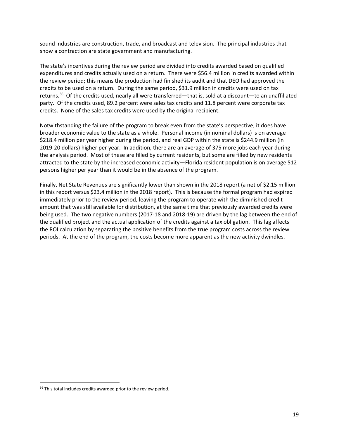sound industries are construction, trade, and broadcast and television. The principal industries that show a contraction are state government and manufacturing.

The state's incentives during the review period are divided into credits awarded based on qualified expenditures and credits actually used on a return. There were \$56.4 million in credits awarded within the review period; this means the production had finished its audit and that DEO had approved the credits to be used on a return. During the same period, \$31.9 million in credits were used on tax returns.36 Of the credits used, nearly all were transferred—that is, sold at a discount—to an unaffiliated party. Of the credits used, 89.2 percent were sales tax credits and 11.8 percent were corporate tax credits. None of the sales tax credits were used by the original recipient.

Notwithstanding the failure of the program to break even from the state's perspective, it does have broader economic value to the state as a whole. Personal income (in nominal dollars) is on average \$218.4 million per year higher during the period, and real GDP within the state is \$244.9 million (in 2019‐20 dollars) higher per year. In addition, there are an average of 375 more jobs each year during the analysis period. Most of these are filled by current residents, but some are filled by new residents attracted to the state by the increased economic activity—Florida resident population is on average 512 persons higher per year than it would be in the absence of the program.

Finally, Net State Revenues are significantly lower than shown in the 2018 report (a net of \$2.15 million in this report versus \$23.4 million in the 2018 report). This is because the formal program had expired immediately prior to the review period, leaving the program to operate with the diminished credit amount that was still available for distribution, at the same time that previously awarded credits were being used. The two negative numbers (2017‐18 and 2018‐19) are driven by the lag between the end of the qualified project and the actual application of the credits against a tax obligation. This lag affects the ROI calculation by separating the positive benefits from the true program costs across the review periods. At the end of the program, the costs become more apparent as the new activity dwindles.

<sup>&</sup>lt;sup>36</sup> This total includes credits awarded prior to the review period.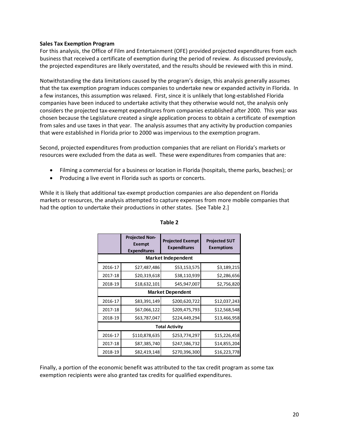#### **Sales Tax Exemption Program**

For this analysis, the Office of Film and Entertainment (OFE) provided projected expenditures from each business that received a certificate of exemption during the period of review. As discussed previously, the projected expenditures are likely overstated, and the results should be reviewed with this in mind.

Notwithstanding the data limitations caused by the program's design, this analysis generally assumes that the tax exemption program induces companies to undertake new or expanded activity in Florida. In a few instances, this assumption was relaxed. First, since it is unlikely that long‐established Florida companies have been induced to undertake activity that they otherwise would not, the analysis only considers the projected tax‐exempt expenditures from companies established after 2000. This year was chosen because the Legislature created a single application process to obtain a certificate of exemption from sales and use taxes in that year. The analysis assumes that any activity by production companies that were established in Florida prior to 2000 was impervious to the exemption program.

Second, projected expenditures from production companies that are reliant on Florida's markets or resources were excluded from the data as well. These were expenditures from companies that are:

- Filming a commercial for a business or location in Florida (hospitals, theme parks, beaches); or
- Producing a live event in Florida such as sports or concerts.

While it is likely that additional tax‐exempt production companies are also dependent on Florida markets or resources, the analysis attempted to capture expenses from more mobile companies that had the option to undertake their productions in other states. [See Table 2.]

|                           | <b>Projected Non-</b><br><b>Exempt</b><br><b>Expenditures</b> | <b>Projected SUT</b><br><b>Exemptions</b> |              |  |  |  |  |  |  |  |  |  |
|---------------------------|---------------------------------------------------------------|-------------------------------------------|--------------|--|--|--|--|--|--|--|--|--|
| <b>Market Independent</b> |                                                               |                                           |              |  |  |  |  |  |  |  |  |  |
| 2016-17                   | \$27,487,486                                                  | \$53,153,575                              | \$3,189,215  |  |  |  |  |  |  |  |  |  |
| 2017-18                   | \$20,319,618                                                  | \$38,110,939                              | \$2,286,656  |  |  |  |  |  |  |  |  |  |
| 2018-19                   | \$18,632,101                                                  | \$45,947,007                              | \$2,756,820  |  |  |  |  |  |  |  |  |  |
|                           |                                                               | <b>Market Dependent</b>                   |              |  |  |  |  |  |  |  |  |  |
| 2016-17                   | \$83,391,149                                                  | \$200,620,722                             | \$12,037,243 |  |  |  |  |  |  |  |  |  |
| 2017-18                   | \$67,066,122                                                  | \$209,475,793                             | \$12,568,548 |  |  |  |  |  |  |  |  |  |
| 2018-19                   | \$63,787,047                                                  | \$224,449,294                             | \$13,466,958 |  |  |  |  |  |  |  |  |  |
|                           |                                                               | <b>Total Activity</b>                     |              |  |  |  |  |  |  |  |  |  |
| 2016-17                   | \$110,878,635                                                 | \$253,774,297                             | \$15,226,458 |  |  |  |  |  |  |  |  |  |
| 2017-18                   | \$87,385,740                                                  | \$247,586,732                             | \$14,855,204 |  |  |  |  |  |  |  |  |  |
| 2018-19                   | \$82,419,148                                                  | \$270,396,300                             | \$16,223,778 |  |  |  |  |  |  |  |  |  |

#### **Table 2**

Finally, a portion of the economic benefit was attributed to the tax credit program as some tax exemption recipients were also granted tax credits for qualified expenditures.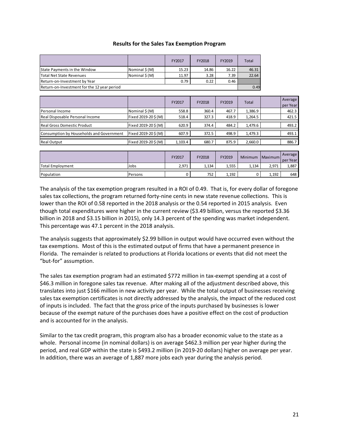| <b>Results for the Sales Tax Exemption Program</b> |  |  |  |
|----------------------------------------------------|--|--|--|
|----------------------------------------------------|--|--|--|

|                                             |                    | FY2017  | FY2018 | FY2019 | Total        |         |                     |
|---------------------------------------------|--------------------|---------|--------|--------|--------------|---------|---------------------|
| State Payments in the Window                | Nominal \$(M)      | 15.23   | 14.86  | 16.22  | 46.31        |         |                     |
| <b>Total Net State Revenues</b>             | Nominal $\zeta(M)$ | 11.97   | 3.28   | 7.39   | 22.64        |         |                     |
| Return-on-Investment by Year                |                    | 0.79    | 0.22   | 0.46   |              |         |                     |
| Return-on-Investment for the 12 year period |                    |         |        |        | 0.49         |         |                     |
|                                             |                    |         |        |        |              |         |                     |
|                                             |                    | FY2017  | FY2018 | FY2019 | <b>Total</b> |         | Average<br>per Year |
| Personal Income                             | Nominal $\zeta(M)$ | 558.8   | 360.4  | 467.7  | 1,386.9      |         | 462.3               |
| Real Disposable Personal Income             | Fixed 2019-20\$(M) | 518.4   | 327.3  | 418.9  | 1,264.5      |         | 421.5               |
| <b>Real Gross Domestic Product</b>          | Fixed 2019-20\$(M) | 620.9   | 374.4  | 484.2  | 1,479.6      |         | 493.2               |
| Consumption by Households and Government    | Fixed 2019-20\$(M) | 607.9   | 372.5  | 498.9  | 1,479.3      |         | 493.1               |
| <b>Real Output</b>                          | Fixed 2019-20\$(M) | 1,103.4 | 680.7  | 875.9  | 2,660.0      |         | 886.7               |
|                                             |                    |         |        |        |              |         |                     |
|                                             |                    | FY2017  | FY2018 | FY2019 | Minimum      | Maximum | Average<br>per Year |
| <b>Total Employment</b>                     | Jobs               | 2,971   | 1,134  | 1,555  | 1,134        | 2,971   | 1,887               |

The analysis of the tax exemption program resulted in a ROI of 0.49. That is, for every dollar of foregone sales tax collections, the program returned forty-nine cents in new state revenue collections. This is lower than the ROI of 0.58 reported in the 2018 analysis or the 0.54 reported in 2015 analysis. Even though total expenditures were higher in the current review (\$3.49 billion, versus the reported \$3.36 billion in 2018 and \$3.15 billion in 2015), only 14.3 percent of the spending was market independent. This percentage was 47.1 percent in the 2018 analysis.

Population Persons 0 752 1,192 0 1,192 648

The analysis suggests that approximately \$2.99 billion in output would have occurred even without the tax exemptions. Most of this is the estimated output of firms that have a permanent presence in Florida. The remainder is related to productions at Florida locations or events that did not meet the "but‐for" assumption.

The sales tax exemption program had an estimated \$772 million in tax-exempt spending at a cost of \$46.3 million in foregone sales tax revenue. After making all of the adjustment described above, this translates into just \$166 million in new activity per year. While the total output of businesses receiving sales tax exemption certificates is not directly addressed by the analysis, the impact of the reduced cost of inputs is included. The fact that the gross price of the inputs purchased by businesses is lower because of the exempt nature of the purchases does have a positive effect on the cost of production and is accounted for in the analysis.

Similar to the tax credit program, this program also has a broader economic value to the state as a whole. Personal income (in nominal dollars) is on average \$462.3 million per year higher during the period, and real GDP within the state is \$493.2 million (in 2019-20 dollars) higher on average per year. In addition, there was an average of 1,887 more jobs each year during the analysis period.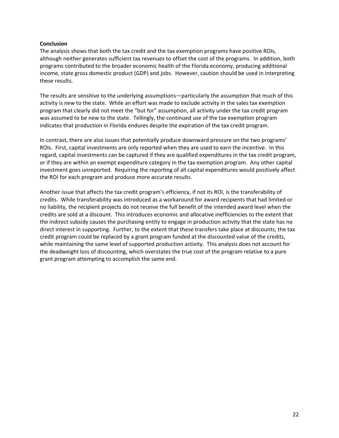#### **Conclusion**

The analysis shows that both the tax credit and the tax exemption programs have positive ROIs, although neither generates sufficient tax revenues to offset the cost of the programs. In addition, both programs contributed to the broader economic health of the Florida economy, producing additional income, state gross domestic product (GDP) and jobs. However, caution should be used in interpreting these results.

The results are sensitive to the underlying assumptions—particularly the assumption that much of this activity is new to the state. While an effort was made to exclude activity in the sales tax exemption program that clearly did not meet the "but for" assumption, all activity under the tax credit program was assumed to be new to the state. Tellingly, the continued use of the tax exemption program indicates that production in Florida endures despite the expiration of the tax credit program.

In contrast, there are also issues that potentially produce downward pressure on the two programs' ROIs. First, capital investments are only reported when they are used to earn the incentive. In this regard, capital investments can be captured if they are qualified expenditures in the tax credit program, or if they are within an exempt expenditure category in the tax exemption program. Any other capital investment goes unreported. Requiring the reporting of all capital expenditures would positively affect the ROI for each program and produce more accurate results.

Another issue that affects the tax credit program's efficiency, if not its ROI, is the transferability of credits. While transferability was introduced as a workaround for award recipients that had limited or no liability, the recipient projects do not receive the full benefit of the intended award level when the credits are sold at a discount. This introduces economic and allocative inefficiencies to the extent that the indirect subsidy causes the purchasing entity to engage in production activity that the state has no direct interest in supporting. Further, to the extent that these transfers take place at discounts, the tax credit program could be replaced by a grant program funded at the discounted value of the credits, while maintaining the same level of supported production activity. This analysis does not account for the deadweight loss of discounting, which overstates the true cost of the program relative to a pure grant program attempting to accomplish the same end.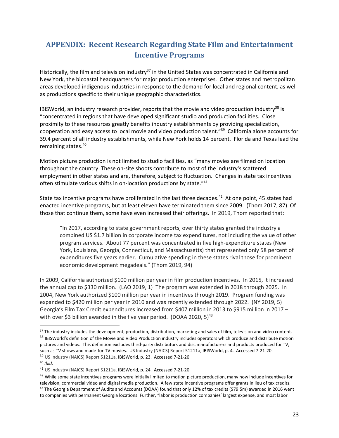### **APPENDIX: Recent Research Regarding State Film and Entertainment Incentive Programs**

Historically, the film and television industry<sup>37</sup> in the United States was concentrated in California and New York, the bicoastal headquarters for major production enterprises. Other states and metropolitan areas developed indigenous industries in response to the demand for local and regional content, as well as productions specific to their unique geographic characteristics.

IBISWorld, an industry research provider, reports that the movie and video production industry<sup>38</sup> is "concentrated in regions that have developed significant studio and production facilities. Close proximity to these resources greatly benefits industry establishments by providing specialization, cooperation and easy access to local movie and video production talent."39 California alone accounts for 39.4 percent of all industry establishments, while New York holds 14 percent. Florida and Texas lead the remaining states.<sup>40</sup>

Motion picture production is not limited to studio facilities, as "many movies are filmed on location throughout the country. These on‐site shoots contribute to most of the industry's scattered employment in other states and are, therefore, subject to fluctuation. Changes in state tax incentives often stimulate various shifts in on-location productions by state."<sup>41</sup>

State tax incentive programs have proliferated in the last three decades.<sup>42</sup> At one point, 45 states had enacted incentive programs, but at least eleven have terminated them since 2009. (Thom 2017, 87) Of those that continue them, some have even increased their offerings. In 2019, Thom reported that:

"In 2017, according to state government reports, over thirty states granted the industry a combined US \$1.7 billion in corporate income tax expenditures, not including the value of other program services. About 77 percent was concentrated in five high‐expenditure states (New York, Louisiana, Georgia, Connecticut, and Massachusetts) that represented only 58 percent of expenditures five years earlier. Cumulative spending in these states rival those for prominent economic development megadeals." (Thom 2019, 94)

In 2009, California authorized \$100 million per year in film production incentives. In 2015, it increased the annual cap to \$330 million. (LAO 2019, 1) The program was extended in 2018 through 2025. In 2004, New York authorized \$100 million per year in incentives through 2019. Program funding was expanded to \$420 million per year in 2010 and was recently extended through 2022. (NY 2019, 5) Georgia's Film Tax Credit expenditures increased from \$407 million in 2013 to \$915 million in 2017 – with over \$3 billion awarded in the five year period. (DOAA 2020,  $5)^{43}$ 

<sup>&</sup>lt;sup>37</sup> The industry includes the development, production, distribution, marketing and sales of film, television and video content. <sup>38</sup> IBISWorld's definition of the Movie and Video Production industry includes operators which produce and distribute motion pictures and videos. This definition excludes third‐party distributors and disc manufacturers and products produced for TV, such as TV shows and made-for-TV movies. US Industry (NAICS) Report 51211a, IBISWorld, p. 4. Accessed 7-21-20. 39 US Industry (NAICS) Report 51211a, IBISWorld, p. 23. Accessed 7-21-20.

<sup>40</sup> *Ibid*.

<sup>41</sup> US Industry (NAICS) Report 51211a, IBISWorld, p. 24. Accessed 7‐21‐20.

<sup>&</sup>lt;sup>42</sup> While some state incentives programs were initially limited to motion picture production, many now include incentives for television, commercial video and digital media production. A few state incentive programs offer grants in lieu of tax credits. <sup>43</sup> The Georgia Department of Audits and Accounts (DOAA) found that only 12% of tax credits (\$79.5m) awarded in 2016 went to companies with permanent Georgia locations. Further, "labor is production companies' largest expense, and most labor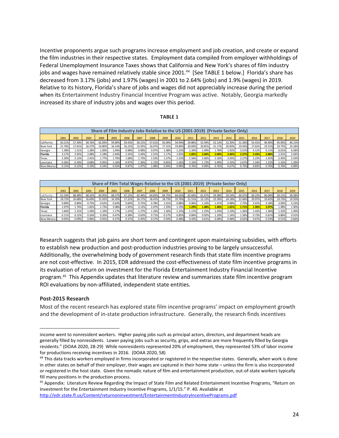Incentive proponents argue such programs increase employment and job creation, and create or expand the film industries in their respective states. Employment data compiled from employer withholdings of Federal Unemployment Insurance Taxes shows that California and New York's shares of film industry jobs and wages have remained relatively stable since 2001.<sup>44</sup> [See TABLE 1 below.] Florida's share has decreased from 3.17% (jobs) and 1.97% (wages) in 2001 to 2.64% (jobs) and 1.9% (wages) in 2019. Relative to its history, Florida's share of jobs and wages did not appreciably increase during the period when its Entertainment Industry Financial Incentive Program was active. Notably, Georgia markedly increased its share of industry jobs and wages over this period.

#### **TABLE 1**

|            | Share of Film Industry Jobs Relative to the US (2001-2019) (Private Sector Only) |        |        |        |        |        |        |        |        |        |        |        |        |        |        |        |        |        |        |
|------------|----------------------------------------------------------------------------------|--------|--------|--------|--------|--------|--------|--------|--------|--------|--------|--------|--------|--------|--------|--------|--------|--------|--------|
|            | 2001                                                                             | 2002   | 2003   | 2004   | 2005   | 2006   | 2007   | 2008   | 2009   | 2010   | 2011   | 2012   | 2013   | 2014   | 2015   | 2016   | 2017   | 2018   | 2019   |
| California | 50.21%                                                                           | 57.39% | 58.76% | 62.83% | 59.89% | 59.43% | 58.15% | 57.61% | 56.90% | 54.94% | 54.86% | 52.94% | 52.13% | 52.30% | 51.58% | 53.41% | 46.90% | 45.90% | 46.15% |
| New York   | 21.76%                                                                           | 17.61% | 16.37% | 14.80% | 16.14% | 16.22% | 15.92% | 16.07% | 17.31% | 19.84% | 20.69% | 20.81% | 21.17% | 20.83% | 19.43% | 17.62% | 19.51% | 19.75% | 19.18% |
| Georgia    | 1.38%                                                                            | 1.51%  | 1.28%  | 1.00%  | 1.04%  | 0.98%  | 0.98%  | 0.97%  | 1.38%  | 1.23%  | 1.34%  | 1.49%  | 1.78%  | 1.92%  | 3.51%  | 4.11%  | 6.11%  | 6.01%  | 6.58%  |
| Florida    | 3.17%                                                                            | 2.92%  | 2.68%  | 2.18%  | 2.44%  | 2.32%  | 2.44%  | 2.31%  | 2.17%  | 1.83%  | 1.85%  | 2.04%  | 2.00%  | 2.40%  | 2.27%  | 2.43%  | 2.88%  | 2.91%  | 2.64%  |
| Texas      | 2.30%                                                                            | 2.12%  | 2.41%  | 1.77%  | L.70%  | 1.68%  | 1.73%  | 1.53%  | 1.57%  | 1.52%  | 1.56%  | 1.66%  | 2.18%  | 2.05%  | 2.27%  | 2.23%  | 2.42%  | 2.45%  | 2.43%  |
| Louisiana  | 0.36%                                                                            | 0.34%  | 0.68%  | 0.95%  | 1.16%  | 0.97%  | 1.36%  | 1.72%  | 0.85%  | 1.26%  | .10%   | 1.73%  | 2.49%  | 2.33%  | 2.67%  | 1.54%  | 1.22%  | 1.32%  | 1.39%  |
| New Mexico | 0.15%                                                                            | 0.22%  | 0.19%  | 0.24%  | 0.50%  | 0.87%  | 1.07%  | 1.08%  | 0.94%  | 0.98%  | 0.76%  | 0.99%  | 0.76%  | 0.67%  | 0.73%  | 0.83%  | 0.76%  | 0.76%  | 0.89%  |

| Share of Film Total Wages Relative to the US (2001-2019) (Private Sector Only) |        |        |        |        |        |        |        |        |        |        |        |        |        |        |        |        |        |        |        |
|--------------------------------------------------------------------------------|--------|--------|--------|--------|--------|--------|--------|--------|--------|--------|--------|--------|--------|--------|--------|--------|--------|--------|--------|
|                                                                                | 2001   | 2002   | 2003   | 2004   | 2005   | 2006   | 2007   | 2008   | 2009   | 2010   | 2011   | 2012   | 2013   | 2014   | 2015   | 2016   | 2017   | 2018   | 2019   |
| California                                                                     | 61.54% | 68.48% | 68.32% | 69.95% | 68.57% | 67.23% | 65.46% | 64.85% | 64.75% | 64.63% | 62.66% | 61.67% | 59.38% | 59.54% | 60.47% | 60.23% | 60.04% | 59.21% | 58.58% |
| New York                                                                       | 18.72% | 16.68% | 16.69% | 15.92% | 16.59% | 17.22% | 18.17% | 18.41% | 18.73% | 19.76% | 21.51% | 22.12% | 23.39% | 24.18% | 21.66% | 20.97% | 19.62% | 19.73% | 19.50% |
| Georgia                                                                        | 0.89%  | 0.80%  | 0.75%  | 0.62%  | 0.63%  | 0.69%  | 0.75%  | 0.78%  | 1.01%  | 0.88%  | 0.96%  | 1.10%  | 1.41%  | 0.88%  | 1.75%  | 3.01%  | 4.18%  | 3.90%  | 4.23%  |
| Florida                                                                        | 1.97%  | 1.74%  | 1.81%  | 1.73%  | 2.08%  | 1.92%  | 2.12%  | 2.07%  | 1.59%  | 1.19%  | 1.29%  | 1.48%  | 1.48%  | 1.65%  | 1.71%  | 1.90%  | 2.07%  | 1.98%  | 1.90%  |
| Texas                                                                          | 1.66%  | 1.31%  | 1.43%  | 1.10%  | 1.17%  | 1.22%  | 1.27%  | 1.16%  | 1.26%  | 1.15%  | 1.17%  | 1.25%  | 1.43%  | 1.29%  | 1.36%  | 1.42%  | 1.36%  | 1.32%  | 1.40%  |
| Louisiana                                                                      | 0.11%  | 0.12%  | 0.16%  | 0.26%  | 0.47%  | 0.38%  | 0.63%  | 0.71%  | 0.57%  | 0.85%  | 0.84%  | 0.92%  | 1.10%  | 1.14%  | 1.26%  | 0.73%  | 0.61%  | 0.86%  | 0.91%  |
| <b>New Mexico</b>                                                              | 0.05%  | 0.09%  | 0.06%  | 0.05%  | 0.27%  | 0.37%  | 0.43%  | 0.57%  | 0.50%  | 0.48%  | 0.43%  | 0.61%  | 0.48%  | 0.48%  | 0.62%  | 0.67%  | 0.53%  | 0.51%  | 0.66%  |

Research suggests that job gains are short term and contingent upon maintaining subsidies, with efforts to establish new production and post-production industries proving to be largely unsuccessful. Additionally, the overwhelming body of government research finds that state film incentive programs are not cost-effective. In 2015, EDR addressed the cost-effectiveness of state film incentive programs in its evaluation of return on investment for the Florida Entertainment Industry Financial Incentive program.45 This Appendix updates that literature review and summarizes state film incentive program ROI evaluations by non‐affiliated, independent state entities.

#### **Post‐2015 Research**

Most of the recent research has explored state film incentive programs' impact on employment growth and the development of in-state production infrastructure. Generally, the research finds incentives

income went to nonresident workers. Higher paying jobs such as principal actors, directors, and department heads are generally filled by nonresidents. Lower paying jobs such as security, grips, and extras are more frequently filled by Georgia residents." (DOAA 2020, 28‐29) While nonresidents represented 20% of employment, they represented 53% of labor income for productions receiving incentives in 2016. (DOAA 2020, 58)

<sup>44</sup> This data tracks workers employed in firms incorporated or registered in the respective states. Generally, when work is done in other states on behalf of their employer, their wages are captured in their home state – unless the firm is also incorporated or registered in the host state. Given the nomadic nature of film and entertainment production, out‐of‐state workers typically fill many positions in the production process.

<sup>45</sup> Appendix: Literature Review Regarding the Impact of State Film and Related Entertainment Incentive Programs, "Return on Investment for the Entertainment Industry Incentive Programs, 1/1/15." P. 40. Available at http://edr.state.fl.us/Content/returnoninvestment/EntertainmentIndustryIncentivePrograms.pdf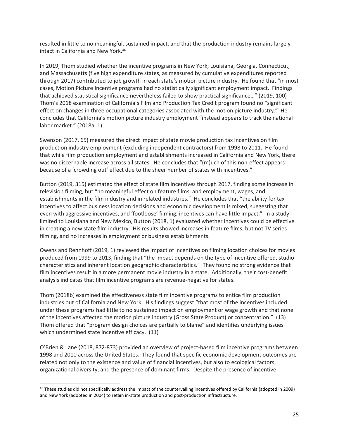resulted in little to no meaningful, sustained impact, and that the production industry remains largely intact in California and New York.46

In 2019, Thom studied whether the incentive programs in New York, Louisiana, Georgia, Connecticut, and Massachusetts (five high expenditure states, as measured by cumulative expenditures reported through 2017) contributed to job growth in each state's motion picture industry. He found that "in most cases, Motion Picture Incentive programs had no statistically significant employment impact. Findings that achieved statistical significance nevertheless failed to show practical significance…" (2019, 100) Thom's 2018 examination of California's Film and Production Tax Credit program found no "significant effect on changes in three occupational categories associated with the motion picture industry." He concludes that California's motion picture industry employment "instead appears to track the national labor market." (2018a, 1)

Swenson (2017, 65) measured the direct impact of state movie production tax incentives on film production industry employment (excluding independent contractors) from 1998 to 2011. He found that while film production employment and establishments increased in California and New York, there was no discernable increase across all states. He concludes that "(m)uch of this non-effect appears because of a 'crowding out' effect due to the sheer number of states with incentives."

Button (2019, 315) estimated the effect of state film incentives through 2017, finding some increase in television filming, but "no meaningful effect on feature films, and employment, wages, and establishments in the film industry and in related industries." He concludes that "the ability for tax incentives to affect business location decisions and economic development is mixed, suggesting that even with aggressive incentives, and 'footloose' filming, incentives can have little impact." In a study limited to Louisiana and New Mexico, Button (2018, 1) evaluated whether incentives could be effective in creating a new state film industry. His results showed increases in feature films, but not TV series filming, and no increases in employment or business establishments.

Owens and Rennhoff (2019, 1) reviewed the impact of incentives on filming location choices for movies produced from 1999 to 2013, finding that "the impact depends on the type of incentive offered, studio characteristics and inherent location geographic characteristics." They found no strong evidence that film incentives result in a more permanent movie industry in a state. Additionally, their cost-benefit analysis indicates that film incentive programs are revenue‐negative for states.

Thom (2018b) examined the effectiveness state film incentive programs to entice film production industries out of California and New York. His findings suggest "that most of the incentives included under these programs had little to no sustained impact on employment or wage growth and that none of the incentives affected the motion picture industry (Gross State Product) or concentration." (13) Thom offered that "program design choices are partially to blame" and identifies underlying issues which undermined state incentive efficacy. (11)

O'Brien & Lane (2018, 872‐873) provided an overview of project‐based film incentive programs between 1998 and 2010 across the United States. They found that specific economic development outcomes are related not only to the existence and value of financial incentives, but also to ecological factors, organizational diversity, and the presence of dominant firms. Despite the presence of incentive

<sup>&</sup>lt;sup>46</sup> These studies did not specifically address the impact of the countervailing incentives offered by California (adopted in 2009) and New York (adopted in 2004) to retain in-state production and post-production infrastructure.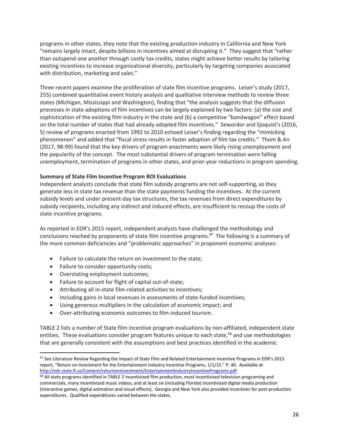programs in other states, they note that the existing production industry in California and New York "remains largely intact, despite billions in incentives aimed at disrupting it." They suggest that "rather than outspend one another through costly tax credits, states might achieve better results by tailoring existing incentives to increase organizational diversity, particularly by targeting companies associated with distribution, marketing and sales."

Three recent papers examine the proliferation of state film incentive programs. Leiser's study (2017, 255) combined quantitative event history analysis and qualitative interview methods to review three states (Michigan, Mississippi and Washington), finding that "the analysis suggests that the diffusion processes in state adoptions of film incentives can be largely explained by two factors: (a) the size and sophistication of the existing film industry in the state and (b) a competitive "bandwagon" effect based on the total number of states that had already adopted film incentives." Sewordor and Sjoquist's (2016, 5) review of programs enacted from 1992 to 2010 echoed Leiser's finding regarding the "mimicking phenomenon" and added that "fiscal stress results in faster adoption of film tax credits." Thom & An (2017, 98‐99) found that the key drivers of program enactments were likely rising unemployment and the popularity of the concept. The most substantial drivers of program termination were falling unemployment, termination of programs in other states, and prior‐year reductions in program spending.

#### **Summary of State Film Incentive Program ROI Evaluations**

Independent analysts conclude that state film subsidy programs are not self‐supporting, as they generate less in state tax revenue than the state payments funding the incentives. At the current subsidy levels and under present-day tax structures, the tax revenues from direct expenditures by subsidy recipients, including any indirect and induced effects, are insufficient to recoup the costs of state incentive programs.

As reported in EDR's 2015 report, independent analysts have challenged the methodology and conclusions reached by proponents of state film incentive programs.<sup>47</sup> The following is a summary of the more common deficiencies and "problematic approaches" in proponent economic analyses:

- Failure to calculate the return on investment to the state;
- Failure to consider opportunity costs;
- Overstating employment outcomes;

- Failure to account for flight of capital out‐of‐state;
- Attributing all in-state film-related activities to incentives;
- Including gains in local revenues in assessments of state-funded incentives;
- Using generous multipliers in the calculation of economic impact; and
- Over-attributing economic outcomes to film-induced tourism.

TABLE 2 lists a number of State film incentive program evaluations by non-affiliated, independent state entities. These evaluations consider program features unique to each state,<sup>48</sup> and use methodologies that are generally consistent with the assumptions and best practices identified in the academic

<sup>&</sup>lt;sup>47</sup> See Literature Review Regarding the Impact of State Film and Related Entertainment Incentive Programs in EDR's 2015 report, "Return on Investment for the Entertainment Industry Incentive Programs, 1/1/15." P. 40. Available at http://edr.state.fl.us/Content/returnoninvestment/EntertainmentIndustryIncentivePrograms.pdf

<sup>&</sup>lt;sup>48</sup> All state programs identified in TABLE 2 incentivized film production, most incentivized television programing and commercials, many incentivized music videos, and at least six (including Florida) incentivized digital media production (interactive games, digital animation and visual effects). Georgia and New York also provided incentives for post‐production expenditures. Qualified expenditures varied between the states.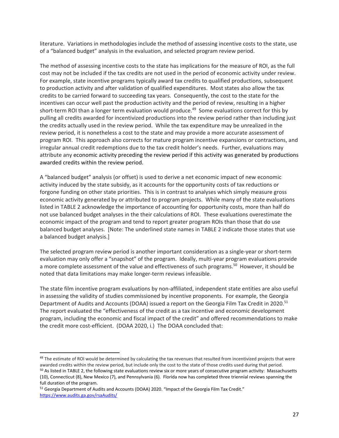literature. Variations in methodologies include the method of assessing incentive costs to the state, use of a "balanced budget" analysis in the evaluation, and selected program review period.

The method of assessing incentive costs to the state has implications for the measure of ROI, as the full cost may not be included if the tax credits are not used in the period of economic activity under review. For example, state incentive programs typically award tax credits to qualified productions, subsequent to production activity and after validation of qualified expenditures. Most states also allow the tax credits to be carried forward to succeeding tax years. Consequently, the cost to the state for the incentives can occur well past the production activity and the period of review, resulting in a higher short-term ROI than a longer term evaluation would produce.<sup>49</sup> Some evaluations correct for this by pulling all credits awarded for incentivized productions into the review period rather than including just the credits actually used in the review period. While the tax expenditure may be unrealized in the review period, it is nonetheless a cost to the state and may provide a more accurate assessment of program ROI. This approach also corrects for mature program incentive expansions or contractions, and irregular annual credit redemptions due to the tax credit holder's needs. Further, evaluations may attribute any economic activity preceding the review period if this activity was generated by productions awarded credits within the review period.

A "balanced budget" analysis (or offset) is used to derive a net economic impact of new economic activity induced by the state subsidy, as it accounts for the opportunity costs of tax reductions or forgone funding on other state priorities. This is in contrast to analyses which simply measure gross economic activity generated by or attributed to program projects. While many of the state evaluations listed in TABLE 2 acknowledge the importance of accounting for opportunity costs, more than half do not use balanced budget analyses in the their calculations of ROI. These evaluations overestimate the economic impact of the program and tend to report greater program ROIs than those that do use balanced budget analyses. [Note: The underlined state names in TABLE 2 indicate those states that use a balanced budget analysis.]

The selected program review period is another important consideration as a single‐year or short‐term evaluation may only offer a "snapshot" of the program. Ideally, multi-year program evaluations provide a more complete assessment of the value and effectiveness of such programs.<sup>50</sup> However, it should be noted that data limitations may make longer‐term reviews infeasible.

The state film incentive program evaluations by non‐affiliated, independent state entities are also useful in assessing the validity of studies commissioned by incentive proponents. For example, the Georgia Department of Audits and Accounts (DOAA) issued a report on the Georgia Film Tax Credit in 2020.<sup>51</sup> The report evaluated the "effectiveness of the credit as a tax incentive and economic development program, including the economic and fiscal impact of the credit" and offered recommendations to make the credit more cost-efficient. (DOAA 2020, i.) The DOAA concluded that:

<sup>&</sup>lt;sup>49</sup> The estimate of ROI would be determined by calculating the tax revenues that resulted from incentivized projects that were awarded credits within the review period, but include only the cost to the state of those credits used during that period. <sup>50</sup> As listed in TABLE 2, the following state evaluations review six or more years of consecutive program activity: Massachusetts (10), Connecticut (8), New Mexico (7), and Pennsylvania (6). Florida now has completed three triennial reviews spanning the full duration of the program.

<sup>&</sup>lt;sup>51</sup> Georgia Department of Audits and Accounts (DOAA) 2020. "Impact of the Georgia Film Tax Credit." https://www.audits.ga.gov/rsaAudits/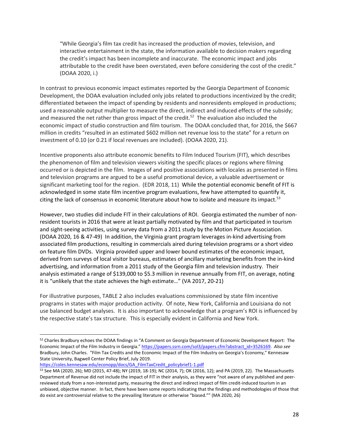"While Georgia's film tax credit has increased the production of movies, television, and interactive entertainment in the state, the information available to decision makers regarding the credit's impact has been incomplete and inaccurate. The economic impact and jobs attributable to the credit have been overstated, even before considering the cost of the credit." (DOAA 2020, i.)

In contrast to previous economic impact estimates reported by the Georgia Department of Economic Development, the DOAA evaluation included only jobs related to productions incentivized by the credit; differentiated between the impact of spending by residents and nonresidents employed in productions; used a reasonable output multiplier to measure the direct, indirect and induced effects of the subsidy; and measured the net rather than gross impact of the credit.<sup>52</sup> The evaluation also included the economic impact of studio construction and film tourism. The DOAA concluded that, for 2016, the \$667 million in credits "resulted in an estimated \$602 million net revenue loss to the state" for a return on investment of 0.10 (or 0.21 if local revenues are included). (DOAA 2020, 21).

Incentive proponents also attribute economic benefits to Film Induced Tourism (FIT), which describes the phenomenon of film and television viewers visiting the specific places or regions where filming occurred or is depicted in the film. Images of and positive associations with locales as presented in films and television programs are argued to be a useful promotional device, a valuable advertisement or significant marketing tool for the region. (EDR 2018, 11) While the potential economic benefit of FIT is acknowledged in some state film incentive program evaluations, few have attempted to quantify it, citing the lack of consensus in economic literature about how to isolate and measure its impact. $53$ 

However, two studies did include FIT in their calculations of ROI. Georgia estimated the number of non‐ resident tourists in 2016 that were at least partially motivated by film and that participated in tourism and sight-seeing activities, using survey data from a 2011 study by the Motion Picture Association. (DOAA 2020, 16 & 47‐49) In addition, the Virginia grant program leverages in‐kind advertising from associated film productions, resulting in commercials aired during television programs or a short video on feature film DVDs. Virginia provided upper and lower bound estimates of the economic impact, derived from surveys of local visitor bureaus, estimates of ancillary marketing benefits from the in‐kind advertising, and information from a 2011 study of the Georgia film and television industry. Their analysis estimated a range of \$139,000 to \$5.3 million in revenue annually from FIT, on average, noting it is "unlikely that the state achieves the high estimate…" (VA 2017, 20‐21)

For illustrative purposes, TABLE 2 also includes evaluations commissioned by state film incentive programs in states with major production activity. Of note, New York, California and Louisiana do not use balanced budget analyses. It is also important to acknowledge that a program's ROI is influenced by the respective state's tax structure. This is especially evident in California and New York.

https://coles.kennesaw.edu/econopp/docs/GA\_FilmTaxCredit\_policybrief1-1.pdf

<sup>52</sup> Charles Bradbury echoes the DOAA findings in "A Comment on Georgia Department of Economic Development Report: The Economic Impact of the Film Industry in Georgia." https://papers.ssrn.com/sol3/papers.cfm?abstract\_id=3526169. *Also see* Bradbury, John Charles. "Film Tax Credits and the Economic Impact of the Film Industry on Georgia's Economy," Kennesaw State University, Bagwell Center Policy Brief, July 2019.

<sup>53</sup> See MA (2020, 26); MD (2015, 47-48); NY (2019, 18-19); NC (2014, 7); OK (2016, 12); and PA (2019, 22). The Massachusetts Department of Revenue did not include the impact of FIT in their analysis, as they were "not aware of any published and peer‐ reviewed study from a non‐interested party, measuring the direct and indirect impact of film credit‐induced tourism in an unbiased, objective manner. In fact, there have been some reports indicating that the findings and methodologies of those that do exist are controversial relative to the prevailing literature or otherwise "biased."" (MA 2020, 26)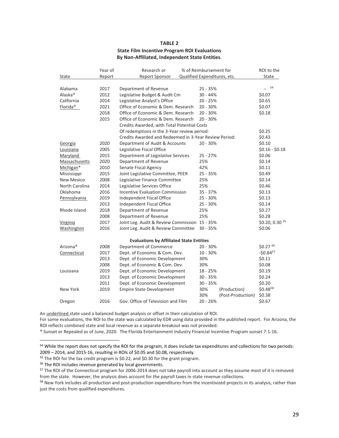#### **TABLE 2 State Film Incentive Program ROI Evaluations By Non‐Affiliated, Independent State Entities**.

|                      | Year of | Research or                                           | % of Reimbursement for       |                   | ROI to the      |
|----------------------|---------|-------------------------------------------------------|------------------------------|-------------------|-----------------|
| State                | Report  | <b>Report Sponsor</b>                                 | Qualified Expenditures, etc. |                   | State           |
|                      |         |                                                       |                              |                   |                 |
| Alabama              | 2017    | Department of Revenue                                 | 25 - 35%                     |                   | $-$ 54          |
| Alaska*              | 2012    | Legislative Budget & Audit Cm                         | $30 - 44%$                   |                   | \$0.07          |
| California           | 2014    | Legislative Analyst's Office                          | 20 - 25%                     |                   | \$0.65          |
| Florida*             | 2021    | Office of Economic & Dem. Research                    | $20 - 30%$                   |                   | \$0.07          |
|                      | 2018    | Office of Economic & Dem. Research                    | 20 - 30%                     |                   | \$0.18          |
|                      | 2015    | Office of Economic & Dem. Research                    | $20 - 30%$                   |                   |                 |
|                      |         | Credits Awarded, with Total Potential Costs           |                              |                   |                 |
|                      |         | Of redemptions in the 3-Year review period:           |                              | \$0.25            |                 |
|                      |         | Credits Awarded and Redeemed in 3-Year Review Period: |                              |                   | \$0.43          |
| Georgia              | 2020    | Department of Audit & Accounts                        | 20 - 30%                     |                   | \$0.10          |
| Louisiana            | 2005    | Legislative Fiscal Office                             |                              |                   | $$0.16 - $0.18$ |
| Maryland             | 2015    | Department of Legislative Services                    | $25 - 27%$                   |                   | \$0.06          |
| <b>Massachusetts</b> | 2020    | Department of Revenue                                 | 25%                          |                   | \$0.14          |
| Michigan*            | 2010    | Senate Fiscal Agency                                  | 42%                          |                   | \$0.11          |
| Mississippi          | 2015    | Joint Legislative Committee, PEER                     | 25 - 35%                     |                   | \$0.49          |
| <b>New Mexico</b>    | 2008    | Legislative Finance Committee                         | 25%                          |                   | \$0.14          |
| North Carolina       | 2014    | Legislative Services Office                           | 25%                          |                   | \$0.46          |
| Oklahoma             | 2016    | <b>Incentive Evaluation Commission</b>                | 35 - 37%                     |                   | \$0.13          |
| Pennsylvania         | 2019    | Independent Fiscal Office                             | 25 - 30%                     |                   | \$0.13          |
|                      | 2013    | Independent Fiscal Office                             | 25 - 30%                     |                   | \$0.14          |
| Rhode Island         | 2018    | Department of Revenue                                 | 25%                          |                   | \$0.27          |
|                      | 2008    | Department of Revenue                                 | 25%                          |                   | \$0.28          |
| Virginia             | 2017    | Joint Leg. Audit & Review Commission 15 - 35%         |                              |                   | \$0.20, 0.30 55 |
| Washington           | 2016    | Joint Leg. Audit & Review Committee                   | $30 - 35%$                   |                   | \$0.06          |
|                      |         | <b>Evaluations by Affiliated State Entities</b>       |                              |                   |                 |
| Arizona*             | 2008    | Department of Commerce                                | 20 - 30%                     |                   | \$0.27 56       |
| Connecticut          | 2017    | Dept. of Economic & Com. Dev.                         | 10 - 30%                     |                   | $-50.84^{57}$   |
|                      | 2013    | Dept. of Economic Development                         | 30%                          |                   | \$0.11          |
|                      | 2008    | Dept. of Economic & Com. Dev.                         | 30%                          |                   | \$0.08          |
| Louisiana            | 2019    | Dept. of Economic Development                         | 18 - 25%                     |                   | \$0.19          |
|                      | 2013    | Dept. of Economic Development                         | $30 - 35%$                   |                   | \$0.24          |
|                      | 2011    | Dept. of Economic Development                         | 30 - 35%                     |                   | \$0.20          |
| New York             | 2019    | <b>Empire State Development</b>                       | 30%                          | (Production)      | \$0.4858        |
|                      |         |                                                       | 30%                          | (Post-Production) | \$0.38          |
| Oregon               | 2016    | Gov. Office of Television and Film                    | $20 - 26%$                   |                   | \$0.67          |
|                      |         |                                                       |                              |                   |                 |

An underlined state used a balanced budget analysis or offset in their calculation of ROI.

For some evaluations, the ROI to the state was calculated by EDR using data provided in the published report. For Arizona, the ROI reflects combined state and local revenue as a separate breakout was not provided.

\* Sunset or Repealed as of June, 2020. The Florida Entertainment Industry Financial Incentive Program sunset 7‐1‐16.

<sup>54</sup> While the report does not specify the ROI for the program, it does include tax expenditures and collections for two periods: 2009 – 2014, and 2015‐16, resulting in ROIs of \$0.05 and \$0.08, respectively.

<sup>55</sup> The ROI for the tax credit program is \$0.22, and \$0.30 for the grant program.

<sup>56</sup> The ROI includes revenue generated by local governments.

<sup>57</sup> The ROI of the Connecticut program for 2006-2014 does not take payroll into account as they assume most of it is removed from the state. However, the analysis does account for the payroll taxes in state revenue collections.

<sup>58</sup> New York includes all production and post-production expenditures from the incentivized projects in its analysis, rather than just the costs from qualified expenditures.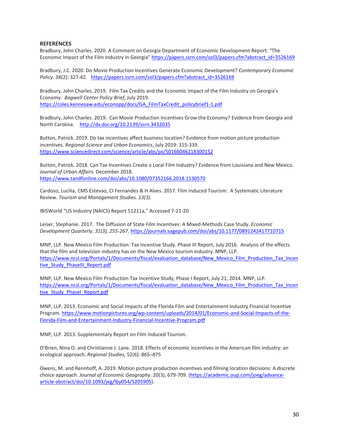#### **REFERENCES**

Bradbury, John Charles. 2020. A Comment on Georgia Department of Economic Development Report: "The Economic Impact of the Film Industry in Georgia" https://papers.ssrn.com/sol3/papers.cfm?abstract\_id=3526169

Bradbury, J.C. 2020. Do Movie Production Incentives Generate Economic Development? *Contemporary Economic Policy.* 38(2): 327‐42*.* https://papers.ssrn.com/sol3/papers.cfm?abstract\_id=3526169

Bradbury, John Charles. 2019. Film Tax Credits and the Economic Impact of the Film Industry on Georgia's Economy. *Bagwell Center Policy Brief*, July 2019. https://coles.kennesaw.edu/econopp/docs/GA\_FilmTaxCredit\_policybrief1-1.pdf

Bradbury, John Charles. 2019. Can Movie Production Incentives Grow the Economy? Evidence from Georgia and North Carolina. http://dx.doi.org/10.2139/ssrn.3432035

Button, Patrick. 2019. Do tax incentives affect business location? Evidence from motion picture production incentives. *Regional Science and Urban Economics*, July 2019: 315‐339. https://www.sciencedirect.com/science/article/abs/pii/S0166046218300152

Button, Patrick. 2018. Can Tax Incentives Create a Local Film Industry? Evidence from Louisiana and New Mexico. *Journal of Urban Affairs.* December 2018. https://www.tandfonline.com/doi/abs/10.1080/07352166.2018.1530570

Cardoso, Lucilia, CMS Estevao, CI Fernandes & H Alves. 2017. Film Induced Tourism: A Systematic Literature Review. *Tourism and Management Studies. 13(3).*

IBISWorld "US Industry (NAICS) Report 51211a," Accessed 7‐21‐20

Leiser, Stephanie. 2017. The Diffusion of State Film Incentives: A Mixed‐Methods Case Study. *Economic Development Quarterly. 31(3), 255‐267.* https://journals.sagepub.com/doi/abs/10.1177/0891242417710715

MNP, LLP. New Mexico Film Production: Tax Incentive Study. Phase III Report, July 2016. Analysis of the effects that the film and television industry has on the New Mexico tourism industry. MNP, LLP. https://www.ncsl.org/Portals/1/Documents/fiscal/evaluation\_database/New\_Mexico\_Film\_Production\_Tax\_Incen tive\_Study\_PhaseIII\_Report.pdf

MNP, LLP. New Mexico Film Production Tax Incentive Study, Phase I Report, July 21, 2014. MNP, LLP. https://www.ncsl.org/Portals/1/Documents/fiscal/evaluation\_database/New\_Mexico\_Film\_Production\_Tax\_Incen tive Study PhaseI Report.pdf

MNP, LLP. 2013. Economic and Social Impacts of the Florida Film and Entertainment Industry Financial Incentive Program. https://www.motionpictures.org/wp-content/uploads/2014/01/Economic-and-Social-Impacts-of-the-Florida‐Film‐and‐Entertainment‐Industry‐Financial‐Incentive‐Program.pdf

MNP, LLP. 2013. Supplementary Report on Film Induced Tourism.

O'Brien, Nina O. and Christianne J. Lane. 2018. Effects of economic incentives in the American film industry: an ecological approach. *Regional Studies,* 52(6): 865–875

Owens, M. and Rennhoff, A. 2019. Motion picture production incentives and filming location decisions: A discrete choice approach. *Journal of Economic Geography.* 20(3), 679‐709. (https://academic.oup.com/joeg/advance‐ article‐abstract/doi/10.1093/jeg/lby054/5205905).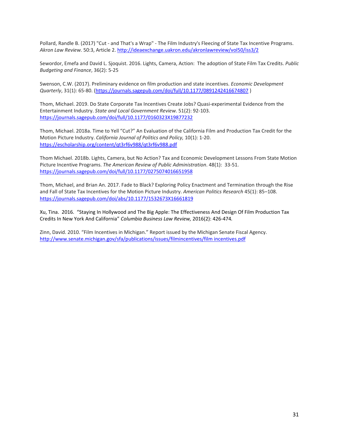Pollard, Randle B. (2017) "Cut ‐ and That's a Wrap" ‐ The Film Industry's Fleecing of State Tax Incentive Programs. *Akron Law Review.* 50:3, Article 2. http://ideaexchange.uakron.edu/akronlawreview/vol50/iss3/2

Sewordor, Emefa and David L. Sjoquist. 2016. Lights, Camera, Action: The adoption of State Film Tax Credits. *Public Budgeting and Finance*, 36(2): 5‐25

Swenson, C.W. (2017). Preliminary evidence on film production and state incentives. *Economic Development Quarterly*, 31(1): 65‐80. (https://journals.sagepub.com/doi/full/10.1177/0891242416674807 )

Thom, Michael. 2019. Do State Corporate Tax Incentives Create Jobs? Quasi‐experimental Evidence from the Entertainment Industry. *State and Local Government Review.* 51(2): 92‐103. https://journals.sagepub.com/doi/full/10.1177/0160323X19877232

Thom, Michael. 2018a. Time to Yell "Cut?" An Evaluation of the California Film and Production Tax Credit for the Motion Picture Industry. *California Journal of Politics and Policy,* 10(1): 1‐20. https://escholarship.org/content/qt3rf6v988/qt3rf6v988.pdf

Thom Michael. 2018b. Lights, Camera, but No Action? Tax and Economic Development Lessons From State Motion Picture Incentive Programs. *The American Review of Public Administration*. 48(1): 33‐51. https://journals.sagepub.com/doi/full/10.1177/0275074016651958

Thom, Michael, and Brian An. 2017. Fade to Black? Exploring Policy Enactment and Termination through the Rise and Fall of State Tax Incentives for the Motion Picture Industry. *American Politics Research* 45(1): 85–108. https://journals.sagepub.com/doi/abs/10.1177/1532673X16661819

Xu, Tina. 2016. "Staying In Hollywood and The Big Apple: The Effectiveness And Design Of Film Production Tax Credits In New York And California" *Columbia Business Law Review,* 2016(2): 426‐474*.*

Zinn, David. 2010. "Film Incentives in Michigan." Report issued by the Michigan Senate Fiscal Agency. http://www.senate.michigan.gov/sfa/publications/issues/filmincentives/film incentives.pdf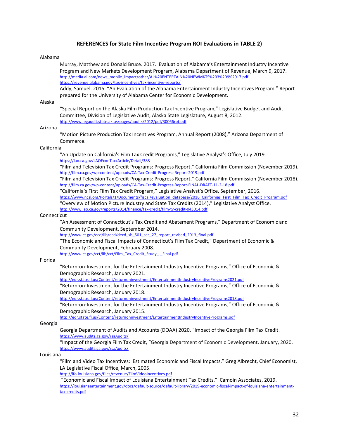#### **REFERENCES for State Film Incentive Program ROI Evaluations in TABLE 2)**

#### Alabama

Murray, Matthew and Donald Bruce. 2017. Evaluation of Alabama's Entertainment Industry Incentive Program and New Markets Development Program, Alabama Department of Revenue, March 9, 2017. http://media.al.com/news\_mobile\_impact/other/AL%20ENTERTAIN%20NEWMKTS%203%209%2017.pdf https://revenue.alabama.gov/tax-incentives/tax-incentive-reports/

Addy, Samuel. 2015. "An Evaluation of the Alabama Entertainment Industry Incentives Program." Report prepared for the University of Alabama Center for Economic Development.

#### Alaska

"Special Report on the Alaska Film Production Tax Incentive Program," Legislative Budget and Audit Committee, Division of Legislative Audit, Alaska State Legislature, August 8, 2012. http://www.legaudit.state.ak.us/pages/audits/2012/pdf/30066rpt.pdf

#### Arizona

"Motion Picture Production Tax Incentives Program, Annual Report (2008)," Arizona Department of Commerce.

#### California

"An Update on California's Film Tax Credit Programs," Legislative Analyst's Office, July 2019. https://lao.ca.gov/LAOEconTax/Article/Detail/388

"Film and Television Tax Credit Programs: Progress Report," California Film Commission (November 2019). http://film.ca.gov/wp‐content/uploads/CA‐Tax‐Credit‐Progress‐Report‐2019.pdf

"Film and Television Tax Credit Programs: Progress Report," California Film Commission (November 2018). http://film.ca.gov/wp-content/uploads/CA-Tax-Credit-Progress-Report-FINAL-DRAFT-11-2-18.pdf

"California's First Film Tax Credit Program," Legislative Analyst's Office, September, 2016.

https://www.ncsl.org/Portals/1/Documents/fiscal/evaluation\_database/2016\_Californias\_First\_Film\_Tax\_Credit\_Program.pdf

"Overview of Motion Picture Industry and State Tax Credits (2014)," Legislative Analyst Office. http://www.lao.ca.gov/reports/2014/finance/tax‐credit/film‐tv‐credit‐043014.pdf

#### Connecticut

"An Assessment of Connecticut's Tax Credit and Abatement Programs," Department of Economic and Community Development, September 2014.

http://www.ct.gov/ecd/lib/ecd/decd\_sb\_501\_sec\_27\_report\_revised\_2013\_final.pdf

"The Economic and Fiscal Impacts of Connecticut's Film Tax Credit," Department of Economic & Community Development, February 2008.

http://www.ct.gov/cct/lib/cct/Film\_Tax\_Credit\_Study\_-\_Final.pdf

#### Florida

"Return‐on‐Investment for the Entertainment Industry Incentive Programs," Office of Economic & Demographic Research, January 2021.

http://edr.state.fl.us/Content/returnoninvestment/EntertainmentIndustryIncentivePrograms2021.pdf

"Return‐on‐Investment for the Entertainment Industry Incentive Programs," Office of Economic & Demographic Research, January 2018.

http://edr.state.fl.us/Content/returnoninvestment/EntertainmentIndustryIncentivePrograms2018.pdf

"Return‐on‐Investment for the Entertainment Industry Incentive Programs," Office of Economic & Demographic Research, January 2015.

http://edr.state.fl.us/Content/returnoninvestment/EntertainmentIndustryIncentivePrograms.pdf

#### Georgia

Georgia Department of Audits and Accounts (DOAA) 2020. "Impact of the Georgia Film Tax Credit. https://www.audits.ga.gov/rsaAudits/

"Impact of the Georgia Film Tax Credit, "Georgia Department of Economic Development. January, 2020. https://www.audits.ga.gov/rsaAudits/

#### Louisiana

"Film and Video Tax Incentives: Estimated Economic and Fiscal Impacts," Greg Albrecht, Chief Economist, LA Legislative Fiscal Office, March, 2005.

http://lfo.louisiana.gov/files/revenue/FilmVideoIncentives.pdf

"Economic and Fiscal Impact of Louisiana Entertainment Tax Credits." Camoin Associates, 2019. https://louisianaentertainment.gov/docs/default-source/default-library/2019-economic-fiscal-impact-of-louisiana-entertainmenttax‐credits.pdf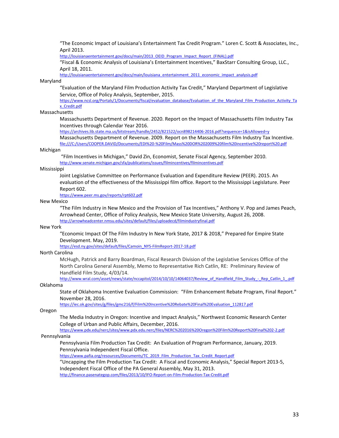"The Economic Impact of Louisiana's Entertainment Tax Credit Program." Loren C. Scott & Associates, Inc., April 2013.

http://louisianaentertainment.gov/docs/main/2013\_OEID\_Program\_Impact\_Report\_(FINAL).pdf

"Fiscal & Economic Analysis of Louisiana's Entertainment Incentives," BaxStarr Consulting Group, LLC., April 18, 2011.

http://louisianaentertainment.gov/docs/main/louisiana\_entertainment\_2011\_economic\_impact\_analysis.pdf

#### Maryland

"Evaluation of the Maryland Film Production Activity Tax Credit," Maryland Department of Legislative Service, Office of Policy Analysis, September, 2015.

https://www.ncsl.org/Portals/1/Documents/fiscal/evaluation\_database/Evaluation\_of\_the\_Maryland\_Film\_Production\_Activity\_Ta x\_Credit.pdf

#### Massachusetts

Massachusetts Department of Revenue. 2020. Report on the Impact of Massachusetts Film Industry Tax Incentives through Calendar Year 2016.

https://archives.lib.state.ma.us/bitstream/handle/2452/821522/ocn898214406-2016.pdf?sequence=1&isAllowed=y

Massachusetts Department of Revenue. 2009. Report on the Massachusetts Film Industry Tax Incentive. file:///C:/Users/COOPER.DAVID/Documents/EDI%20‐%20Film/Mass%20DOR%202009%20film%20incentive%20report%20.pdf

#### Michigan

"Film Incentives in Michigan," David Zin, Economist, Senate Fiscal Agency, September 2010. http://www.senate.michigan.gov/sfa/publications/issues/filmincentives/filmincentives.pdf

#### Mississippi

Joint Legislative Committee on Performance Evaluation and Expenditure Review (PEER). 2015. An evaluation of the effectiveness of the Mississippi film office. Report to the Mississippi Legislature. Peer Report 602.

https://www.peer.ms.gov/reports/rpt602.pdf

#### New Mexico

"The Film Industry in New Mexico and the Provision of Tax Incentives," Anthony V. Pop and James Peach, Arrowhead Center, Office of Policy Analysis, New Mexico State University, August 26, 2008. http://arrowheadcenter.nmsu.edu/sites/default/files/uploadecd/filmindustryfinal.pdf

#### New York

"Economic Impact Of The Film Industry In New York State, 2017 & 2018," Prepared for Empire State Development. May, 2019.

https://esd.ny.gov/sites/default/files/Camoin\_NYS-FilmReport-2017-18.pdf

#### North Carolina

McHugh, Patrick and Barry Boardman, Fiscal Research Division of the Legislative Services Office of the North Carolina General Assembly, Memo to Representative Rich Catlin, RE: Preliminary Review of Handfield Film Study, 4/03/14.

http://www.wral.com/asset/news/state/nccapitol/2014/10/10/14064037/Review\_of\_Handfield\_Film\_Study\_-\_Rep\_Catlin\_1\_.pdf Oklahoma

State of Oklahoma Incentive Evaluation Commission: "Film Enhancement Rebate Program, Final Report." November 28, 2016.

https://iec.ok.gov/sites/g/files/gmc216/f/Film%20Incentive%20Rebate%20Final%20Evaluation\_112817.pdf

#### Oregon

The Media Industry in Oregon: Incentive and Impact Analysis," Northwest Economic Research Center College of Urban and Public Affairs, December, 2016.

https://www.pdx.edu/nerc/sites/www.pdx.edu.nerc/files/NERC%202016%20Oregon%20Film%20Report%20Final%202‐2.pdf Pennsylvania

Pennsylvania Film Production Tax Credit: An Evaluation of Program Performance, January, 2019. Pennsylvania Independent Fiscal Office.

https://www.pafia.org/resources/Documents/TC\_2019\_Film\_Production\_Tax\_Credit\_Report.pdf

"Uncapping the Film Production Tax Credit: A Fiscal and Economic Analysis," Special Report 2013‐5, Independent Fiscal Office of the PA General Assembly, May 31, 2013.

http://finance.pasenategop.com/files/2013/10/IFO‐Report‐on‐Film‐Production‐Tax‐Credit.pdf